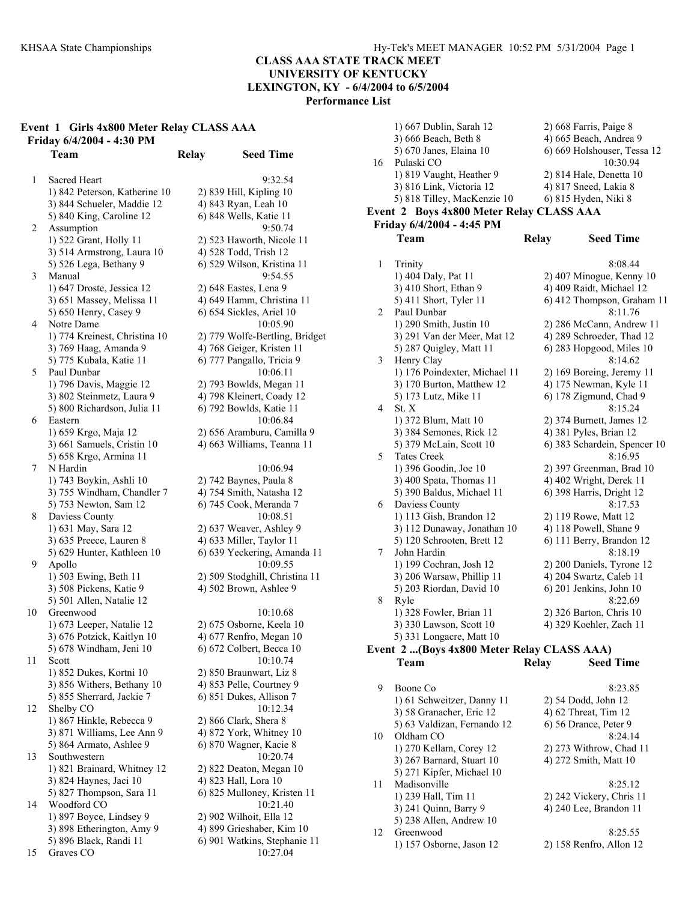1) 667 Dublin, Sarah 12 2) 669 Farrist, Paige 868 Farris, Paige 868 Farris, Paige 868 Factor 87, Paige 87, Paige 87, Paige 87, Paige 87, Paige 87, Paige 87, Paige 87, Paige 87, Paige 87, Paige 87, Paige 87, Paige 87, Paig

# **CLASS AAA STATE TRACK MEET UNIVERSITY OF KENTUCKY**

**LEXINGTON, KY - 6/4/2004 to 6/5/2004** 

**Performance List** 

# **Event 1 Girls 4x800 Meter Relay CLASS AAA Friday 6/4/2004 - 4:30 PM**

1 Sacred Heart 9:32.54 1) 842 Peterson, Katherine 10 2) 839 Hill, Kipling 10 3) 844 Schueler, Maddie 12 4) 843 Ryan, Leah 10 5) 840 King, Caroline 12 6) 848 Wells, Katie 11 2 Assumption 9:50.74 1) 522 Grant, Holly 11 2) 523 Haworth, Nicole 11 3) 514 Armstrong, Laura 10 4) 528 Todd, Trish 12 5) 526 Lega, Bethany 9 6) 529 Wilson, Kristina 11 3 Manual 9:54.55 1) 647 Droste, Jessica 12 2) 648 Eastes, Lena 9 3) 651 Massey, Melissa 11 4) 649 Hamm, Christina 11 5) 650 Henry, Casey 9 6) 654 Sickles, Ariel 10 4 Notre Dame 10:05.90 1) 774 Kreinest, Christina 10 2) 779 Wolfe-Bertling, Bridget 3) 769 Haag, Amanda 9 4) 768 Geiger, Kristen 11 5) 775 Kubala, Katie 11 6) 777 Pangallo, Tricia 9 5 Paul Dunbar 10:06.11 1) 796 Davis, Maggie 12 2) 793 Bowlds, Megan 11 3) 802 Steinmetz, Laura 9 4) 798 Kleinert, Coady 12<br>5) 800 Richardson, Julia 11 6) 792 Bowlds, Katie 11 5) 800 Richardson, Julia 11 6 Eastern 10:06.84 1) 659 Krgo, Maja 12 2) 656 Aramburu, Camilla 9 3) 661 Samuels, Cristin 10 4) 663 Williams, Teanna 11 5) 658 Krgo, Armina 11 7 N Hardin 10:06.94 1) 743 Boykin, Ashli 10 2) 742 Baynes, Paula 8 3) 755 Windham, Chandler 7 4) 754 Smith, Natasha 12 5) 753 Newton, Sam 12 6) 745 Cook, Meranda 7 8 Daviess County 10:08.51 1) 631 May, Sara 12 2) 637 Weaver, Ashley 9 3) 635 Preece, Lauren 8 4) 633 Miller, Taylor 11 5) 629 Hunter, Kathleen 10 6) 639 Yeckering, Amanda 11 9 Apollo 10:09.55 1) 503 Ewing, Beth 11 2) 509 Stodghill, Christina 11 3) 508 Pickens, Katie 9 4) 502 Brown, Ashlee 9 5) 501 Allen, Natalie 12 10 Greenwood 10:10.68 1) 673 Leeper, Natalie 12 2) 675 Osborne, Keela 10 3) 676 Potzick, Kaitlyn 10 4) 677 Renfro, Megan 10 5) 678 Windham, Jeni 10 6) 672 Colbert, Becca 10 11 Scott 10:10.74 1) 852 Dukes, Kortni 10 2) 850 Braunwart, Liz 8 3) 856 Withers, Bethany 10 4) 853 Pelle, Courtney 9 5) 855 Sherrard, Jackie 7 6) 851 Dukes, Allison 7 12 Shelby CO 10:12.34 1) 867 Hinkle, Rebecca 9 2) 866 Clark, Shera 8 3) 871 Williams, Lee Ann 9 4) 872 York, Whitney 10 5) 864 Armato, Ashlee 9 6) 870 Wagner, Kacie 8 13 Southwestern 10:20.74 1) 821 Brainard, Whitney 12 2) 822 Deaton, Megan 10 3) 824 Haynes, Jaci 10 4) 823 Hall, Lora 10 5) 827 Thompson, Sara 11 6) 825 Mulloney, Kristen 11 14 Woodford CO 10:21.40 1) 897 Boyce, Lindsey 9 2) 902 Wilhoit, Ella 12 3) 898 Etherington, Amy 9 4) 899 Grieshaber, Kim 10 5) 896 Black, Randi 11 6) 901 Watkins, Stephanie 11

**Team Relay Seed Time**  15 Graves CO 10:27.04

|                | <b>Team</b>                                | <b>Relay</b> | <b>Seed Time</b>             |
|----------------|--------------------------------------------|--------------|------------------------------|
|                | Event 2 (Boys 4x800 Meter Relay CLASS AAA) |              |                              |
|                | 5) 331 Longacre, Matt 10                   |              |                              |
|                | 3) 330 Lawson, Scott 10                    |              | 4) 329 Koehler, Zach 11      |
|                | 1) 328 Fowler, Brian 11                    |              | 2) 326 Barton, Chris 10      |
| 8              | Ryle                                       |              | 8:22.69                      |
|                | 5) 203 Riordan, David 10                   |              | 6) 201 Jenkins, John 10      |
|                | 3) 206 Warsaw, Phillip 11                  |              | 4) 204 Swartz, Caleb 11      |
|                | 1) 199 Cochran, Josh 12                    |              | 2) 200 Daniels, Tyrone 12    |
| 7              | John Hardin                                |              | 8:18.19                      |
|                | 5) 120 Schrooten, Brett 12                 |              | 6) 111 Berry, Brandon 12     |
|                | 3) 112 Dunaway, Jonathan 10                |              | 4) 118 Powell, Shane 9       |
|                | 1) 113 Gish, Brandon 12                    |              | 2) 119 Rowe, Matt 12         |
| 6              | Daviess County                             |              | 8:17.53                      |
|                | 5) 390 Baldus, Michael 11                  |              | 6) 398 Harris, Dright 12     |
|                | 3) 400 Spata, Thomas 11                    |              | 4) 402 Wright, Derek 11      |
|                | 1) 396 Goodin, Joe 10                      |              | 2) 397 Greenman, Brad 10     |
| 5              | <b>Tates Creek</b>                         |              | 8:16.95                      |
|                | 5) 379 McLain, Scott 10                    |              | 6) 383 Schardein, Spencer 10 |
|                | 3) 384 Semones, Rick 12                    |              | 4) 381 Pyles, Brian 12       |
|                | 1) 372 Blum, Matt 10                       |              | 2) 374 Burnett, James 12     |
| $\overline{4}$ | St. X                                      |              | 8:15.24                      |
|                | 5) 173 Lutz, Mike 11                       |              | 6) 178 Zigmund, Chad 9       |
|                | 3) 170 Burton, Matthew 12                  |              | 4) 175 Newman, Kyle 11       |
|                | 1) 176 Poindexter, Michael 11              |              | 2) 169 Boreing, Jeremy 11    |
| 3              | Henry Clay                                 |              | 8:14.62                      |
|                | 5) 287 Quigley, Matt 11                    |              | 6) 283 Hopgood, Miles 10     |
|                | 3) 291 Van der Meer, Mat 12                |              | 4) 289 Schroeder, Thad 12    |
|                | 1) 290 Smith, Justin 10                    |              | 2) 286 McCann, Andrew 11     |
| 2              | Paul Dunbar                                |              | 8:11.76                      |
|                | 5) 411 Short, Tyler 11                     |              | 6) 412 Thompson, Graham 11   |
|                | 3) 410 Short, Ethan 9                      |              | 4) 409 Raidt, Michael 12     |
|                | 1) 404 Daly, Pat 11                        |              | $2)$ 407 Minogue, Kenny 10   |
| 1              | Trinity                                    |              | 8:08.44                      |
|                |                                            |              |                              |
|                | Team                                       | <b>Relay</b> | <b>Seed Time</b>             |
|                | Friday 6/4/2004 - 4:45 PM                  |              |                              |
|                | Event 2 Boys 4x800 Meter Relay CLASS AAA   |              |                              |
|                | 5) 818 Tilley, MacKenzie 10                |              | 6) 815 Hyden, Niki 8         |
|                | 3) 816 Link, Victoria 12                   |              | 4) 817 Sneed, Lakia 8        |
|                | 1) 819 Vaught, Heather 9                   |              | 2) 814 Hale, Denetta 10      |
| 16             | Pulaski CO                                 |              | 10:30.94                     |
|                | 5) 670 Janes, Elaina 10                    |              | 6) 669 Holshouser, Tessa 12  |
|                | 3) 666 Beach, Beth 8                       |              | 4) 665 Beach, Andrea 9       |
|                | 1) 66 / Dublin, Sarah 12                   |              | 2) 668 Farris, Paige 8       |

| 9  | Boone Co                    | 8:23.85                   |
|----|-----------------------------|---------------------------|
|    | 1) 61 Schweitzer, Danny 11  | 2) 54 Dodd, John 12       |
|    | 3) 58 Granacher, Eric 12    | 4) 62 Threat, Tim 12      |
|    | 5) 63 Valdizan, Fernando 12 | 6) 56 Drance, Peter 9     |
| 10 | Oldham CO                   | 8:24.14                   |
|    | 1) 270 Kellam, Corey 12     | 2) 273 Withrow, Chad 11   |
|    | 3) 267 Barnard, Stuart 10   | 4) 272 Smith, Matt 10     |
|    | 5) 271 Kipfer, Michael 10   |                           |
| 11 | Madisonville                | 8:25.12                   |
|    | 1) 239 Hall, Tim 11         | 2) 242 Vickery, Chris 11  |
|    | 3) 241 Quinn, Barry 9       | 4) 240 Lee, Brandon 11    |
|    | 5) 238 Allen, Andrew 10     |                           |
| 12 | Greenwood                   | 8:25.55                   |
|    | 1) 157 Osborne, Jason 12    | $2)$ 158 Renfro, Allon 12 |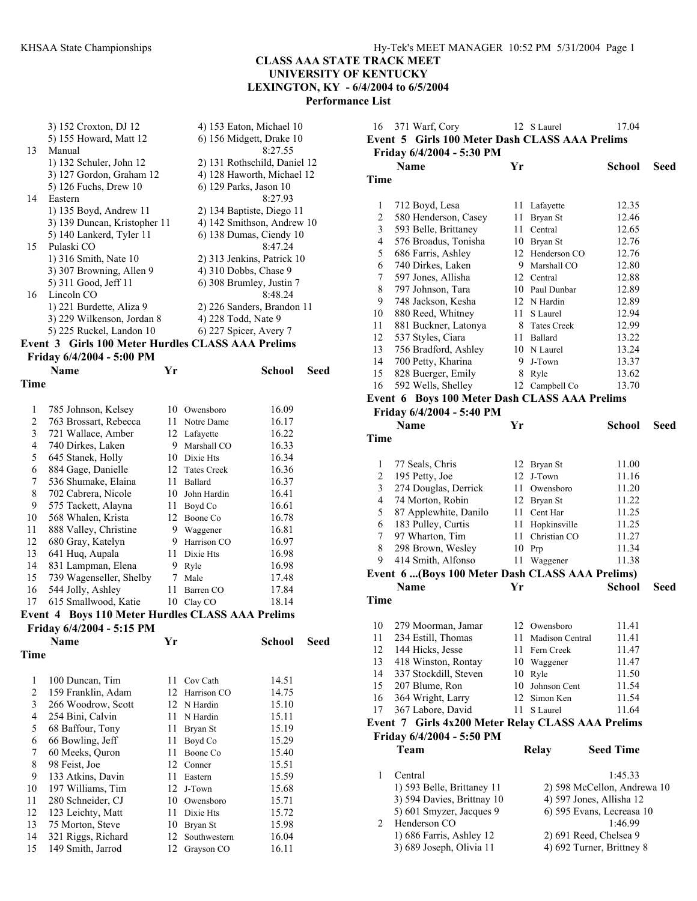3) 152 Croxton, DJ 12 4) 153 Eaton, Michael 10<br>5) 155 Howard, Matt 12 6) 156 Midgett, Drake 10 6) 156 Midgett, Drake 10<br> $8:27.55$ 13 Manual 1) 132 Schuler, John 12 2) 131 Rothschild, Daniel 12 3) 127 Gordon, Graham 12 4) 128 Haworth, Michael 12 5) 126 Fuchs, Drew 10 6) 129 Parks, Jason 10 14 Eastern 8:27.93 1) 135 Boyd, Andrew 11 2) 134 Baptiste, Diego 11 3) 139 Duncan, Kristopher 11  $\qquad$  4) 142 Smithson, Andrew 10 5) 140 Lankerd, Tyler 11 6) 138 Dumas, Ciendy 10 15 Pulaski CO 8:47.24<br>1) 316 Smith, Nate 10 2) 313 Jenkins, Patrick  $2)$  313 Jenkins, Patrick 10 3) 307 Browning, Allen 9 4) 310 Dobbs, Chase 9<br>5) 311 Good, Jeff 11 6) 308 Brumley, Justin 6) 308 Brumley, Justin 7<br> $8:48.24$ 16 Lincoln CO 1) 221 Burdette, Aliza 9 2) 226 Sanders, Brandon 11 3) 229 Wilkenson, Jordan 8 4) 228 Todd, Nate 9 5) 225 Ruckel, Landon 10 6) 227 Spicer, Avery 7

#### **Event 3 Girls 100 Meter Hurdles CLASS AAA Prelims Friday 6/4/2004 - 5:00 PM**

|                | <b>FINAY U/T/400T - J.00 LIM</b> |    |                    |        |      |
|----------------|----------------------------------|----|--------------------|--------|------|
|                | Name                             | Yr |                    | School | Seed |
| Time           |                                  |    |                    |        |      |
|                |                                  |    |                    |        |      |
| 1              | 785 Johnson, Kelsey              | 10 | Owensboro          | 16.09  |      |
| 2              | 763 Brossart, Rebecca            | 11 | Notre Dame         | 16.17  |      |
| 3              | 721 Wallace, Amber               | 12 | Lafayette          | 16.22  |      |
| $\overline{4}$ | 740 Dirkes, Laken                | 9  | Marshall CO        | 16.33  |      |
| 5              | 645 Stanek, Holly                | 10 | Dixie Hts          | 16.34  |      |
| 6              | 884 Gage, Danielle               | 12 | <b>Tates Creek</b> | 16.36  |      |
| 7              | 536 Shumake, Elaina              | 11 | Ballard            | 16.37  |      |
| 8              | 702 Cabrera, Nicole              | 10 | John Hardin        | 16.41  |      |
| 9              | 575 Tackett, Alayna              | 11 | Boyd Co            | 16.61  |      |
| 10             | 568 Whalen, Krista               | 12 | Boone Co           | 16.78  |      |
| 11             | 888 Valley, Christine            | 9  | Waggener           | 16.81  |      |
| 12             | 680 Gray, Katelyn                | 9  | Harrison CO        | 16.97  |      |
| 13             | 641 Hug, Aupala                  | 11 | Dixie Hts          | 16.98  |      |
| 14             | 831 Lampman, Elena               | 9  | Ryle               | 16.98  |      |
| 15             | 739 Wagenseller, Shelby          | 7  | Male               | 17.48  |      |
| 16             | 544 Jolly, Ashley                | 11 | Barren CO          | 17.84  |      |
| 17             | 615 Smallwood, Katie             | 10 | Clay CO            | 18.14  |      |
|                |                                  |    |                    |        |      |

#### **Event 4 Boys 110 Meter Hurdles CLASS AAA Prelims Friday 6/4/2004 - 5:15 PM**

|             | Name               | Yr |                | School | Seed |
|-------------|--------------------|----|----------------|--------|------|
| <b>Time</b> |                    |    |                |        |      |
| 1           | 100 Duncan, Tim    | 11 | Cov Cath       | 14.51  |      |
| 2           | 159 Franklin, Adam |    | 12 Harrison CO | 14.75  |      |
| 3           | 266 Woodrow, Scott |    | 12 N Hardin    | 15.10  |      |
| 4           | 254 Bini, Calvin   | 11 | N Hardin       | 15.11  |      |
| 5           | 68 Baffour, Tony   | 11 | Bryan St       | 15.19  |      |
| 6           | 66 Bowling, Jeff   | 11 | Boyd Co        | 15.29  |      |
| 7           | 60 Meeks, Quron    | 11 | Boone Co       | 15.40  |      |
| 8           | 98 Feist, Joe      | 12 | Conner         | 15.51  |      |
| 9           | 133 Atkins, Davin  | 11 | Eastern        | 15.59  |      |
| 10          | 197 Williams, Tim  | 12 | J-Town         | 15.68  |      |
| 11          | 280 Schneider, CJ  | 10 | Owensboro      | 15.71  |      |
| 12          | 123 Leichty, Matt  | 11 | Dixie Hts      | 15.72  |      |
| 13          | 75 Morton, Steve   | 10 | Bryan St       | 15.98  |      |
| 14          | 321 Riggs, Richard | 12 | Southwestern   | 16.04  |      |
| 15          | 149 Smith, Jarrod  | 12 | Grayson CO     | 16.11  |      |

| 16                       | 371 Warf, Cory                                    |    | 12 S Laurel                  | 17.04                       |      |
|--------------------------|---------------------------------------------------|----|------------------------------|-----------------------------|------|
|                          | Event 5 Girls 100 Meter Dash CLASS AAA Prelims    |    |                              |                             |      |
|                          | Friday 6/4/2004 - 5:30 PM                         |    |                              |                             |      |
|                          | Name                                              | Yr |                              | <b>School</b>               | Seed |
| Time                     |                                                   |    |                              |                             |      |
|                          |                                                   |    |                              |                             |      |
|                          |                                                   |    |                              |                             |      |
| $\mathbf{1}$             | 712 Boyd, Lesa                                    | 11 | Lafayette                    | 12.35                       |      |
| $\overline{c}$           | 580 Henderson, Casey                              |    | 11 Bryan St                  | 12.46                       |      |
| 3                        | 593 Belle, Brittaney                              |    | 11 Central                   | 12.65                       |      |
| $\overline{\mathcal{L}}$ | 576 Broadus, Tonisha                              |    | 10 Bryan St                  | 12.76                       |      |
| 5                        | 686 Farris, Ashley                                |    | 12 Henderson CO              | 12.76                       |      |
| 6                        | 740 Dirkes, Laken                                 |    | 9 Marshall CO                | 12.80                       |      |
| 7                        | 597 Jones, Allisha                                |    | 12 Central                   | 12.88                       |      |
| 8                        | 797 Johnson, Tara                                 |    | 10 Paul Dunbar               | 12.89                       |      |
| 9                        | 748 Jackson, Kesha                                |    | 12 N Hardin                  | 12.89                       |      |
| 10                       | 880 Reed, Whitney                                 | 11 | S Laurel                     | 12.94                       |      |
| 11                       | 881 Buckner, Latonya                              |    | 8 Tates Creek                | 12.99                       |      |
| 12                       | 537 Styles, Ciara                                 |    | 11 Ballard                   | 13.22                       |      |
| 13                       | 756 Bradford, Ashley                              |    | 10 N Laurel                  | 13.24                       |      |
| 14                       | 700 Petty, Kharina                                | 9. | J-Town                       | 13.37                       |      |
| 15                       | 828 Buerger, Emily                                | 8  | Ryle                         | 13.62                       |      |
| 16                       | 592 Wells, Shelley                                |    | 12 Campbell Co               | 13.70                       |      |
|                          | Event 6 Boys 100 Meter Dash CLASS AAA Prelims     |    |                              |                             |      |
|                          |                                                   |    |                              |                             |      |
|                          | Friday 6/4/2004 - 5:40 PM                         |    |                              |                             |      |
|                          | <b>Name</b>                                       | Yr |                              | School                      | Seed |
| <b>Time</b>              |                                                   |    |                              |                             |      |
|                          |                                                   |    |                              |                             |      |
| $\mathbf{1}$             | 77 Seals, Chris                                   |    | 12 Bryan St                  | 11.00                       |      |
| $\overline{c}$           | 195 Petty, Joe                                    |    | 12 J-Town                    | 11.16                       |      |
| 3                        | 274 Douglas, Derrick                              |    | 11 Owensboro                 | 11.20                       |      |
| $\overline{4}$           | 74 Morton, Robin                                  |    | 12 Bryan St                  | 11.22                       |      |
| 5                        | 87 Applewhite, Danilo                             |    | 11 Cent Har                  | 11.25                       |      |
| 6                        | 183 Pulley, Curtis                                | 11 |                              | 11.25                       |      |
| 7                        |                                                   | 11 | Hopkinsville<br>Christian CO |                             |      |
|                          | 97 Wharton, Tim                                   |    |                              | 11.27<br>11.34              |      |
| 8                        | 298 Brown, Wesley                                 | 10 | Prp                          |                             |      |
| 9                        | 414 Smith, Alfonso                                | 11 | Waggener                     | 11.38                       |      |
|                          | Event 6  (Boys 100 Meter Dash CLASS AAA Prelims)  |    |                              |                             |      |
|                          | <b>Name</b>                                       | Yr |                              | School                      | Seed |
| Time                     |                                                   |    |                              |                             |      |
|                          |                                                   |    |                              |                             |      |
| 10                       | 279 Moorman, Jamar                                |    | 12 Owensboro                 | 11.41                       |      |
| 11                       | 234 Estill, Thomas                                |    | 11 Madison Central           | 11.41                       |      |
| 12                       | 144 Hicks, Jesse                                  | 11 | Fern Creek                   | 11.47                       |      |
| 13                       | 418 Winston, Rontay                               |    | 10 Waggener                  | 11.47                       |      |
| 14                       | 337 Stockdill, Steven                             |    | 10 Ryle                      | 11.50                       |      |
| 15                       | 207 Blume, Ron                                    |    | 10 Johnson Cent              | 11.54                       |      |
| 16                       | 364 Wright, Larry                                 | 12 | Simon Ken                    | 11.54                       |      |
|                          |                                                   |    |                              |                             |      |
| 17                       | 367 Labore, David                                 | 11 | S Laurel                     | 11.64                       |      |
|                          | Event 7 Girls 4x200 Meter Relay CLASS AAA Prelims |    |                              |                             |      |
|                          | Friday 6/4/2004 - 5:50 PM                         |    |                              |                             |      |
|                          | Team                                              |    | <b>Relay</b>                 | <b>Seed Time</b>            |      |
|                          |                                                   |    |                              |                             |      |
| 1                        | Central                                           |    |                              | 1:45.33                     |      |
|                          | 1) 593 Belle, Brittaney 11                        |    |                              | 2) 598 McCellon, Andrewa 10 |      |
|                          | 3) 594 Davies, Brittnay 10                        |    |                              | 4) 597 Jones, Allisha 12    |      |
|                          | 5) 601 Smyzer, Jacques 9                          |    |                              | 6) 595 Evans, Lecreasa 10   |      |
| $\overline{2}$           | Henderson CO                                      |    |                              | 1:46.99                     |      |
|                          |                                                   |    |                              |                             |      |
|                          | 1) 686 Farris, Ashley 12                          |    |                              | 2) 691 Reed, Chelsea 9      |      |
|                          | 3) 689 Joseph, Olivia 11                          |    |                              | 4) 692 Turner, Brittney 8   |      |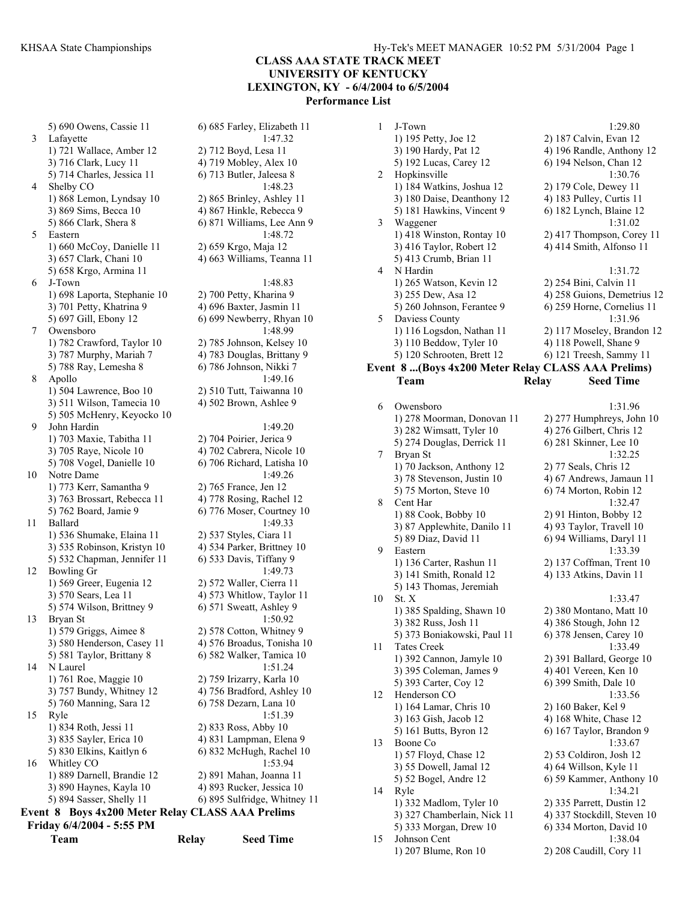5) 690 Owens, Cassie 11 6) 685 Farley, Elizabeth 11 3 Lafayette 1:47.32 1) 721 Wallace, Amber 12 2) 712 Boyd, Lesa 11 3) 716 Clark, Lucy 11 4) 719 Mobley, Alex 10 5) 714 Charles, Jessica 11 6) 713 Butler, Jaleesa 8 4 Shelby CO 1:48.23 1) 868 Lemon, Lyndsay 10 2) 865 Brinley, Ashley 11 3) 869 Sims, Becca 10 4) 867 Hinkle, Rebecca 9 5) 866 Clark, Shera 8 6) 871 Williams, Lee Ann 9 5 Eastern 1:48.72 1) 660 McCoy, Danielle 11 2) 659 Krgo, Maja 12 3) 657 Clark, Chani 10 4) 663 Williams, Teanna 11 5) 658 Krgo, Armina 11 6 J-Town 1:48.83 1) 698 Laporta, Stephanie 10 2) 700 Petty, Kharina 9 3) 701 Petty, Khatrina 9 4) 696 Baxter, Jasmin 11 5) 697 Gill, Ebony 12 6) 699 Newberry, Rhyan 10 7 Owensboro 1:48.99 1) 782 Crawford, Taylor 10 2) 785 Johnson, Kelsey 10 3) 787 Murphy, Mariah 7 4) 783 Douglas, Brittany 9 5) 788 Ray, Lemesha 8 6) 786 Johnson, Nikki 7 Apollo 1:49.16 1) 504 Lawrence, Boo 10 2) 510 Tutt, Taiwanna 10 3) 511 Wilson, Tamecia 10 4) 502 Brown, Ashlee 9 5) 505 McHenry, Keyocko 10 9 John Hardin 1:49.20 1) 703 Maxie, Tabitha 11 2) 704 Poirier, Jerica 9 3) 705 Raye, Nicole 10 4) 702 Cabrera, Nicole 10 5) 708 Vogel, Danielle 10 6) 706 Richard, Latisha 10 10 Notre Dame 1:49.26 1) 773 Kerr, Samantha 9 2) 765 France, Jen 12 3) 763 Brossart, Rebecca 11 4) 778 Rosing, Rachel 12 5) 762 Board, Jamie 9 6) 776 Moser, Courtney 10 11 Ballard 1:49.33 1) 536 Shumake, Elaina 11 2) 537 Styles, Ciara 11 3) 535 Robinson, Kristyn 10 4) 534 Parker, Brittney 10 5) 532 Chapman, Jennifer 11 6) 533 Davis, Tiffany 9 12 Bowling Gr 1:49.73 1) 569 Greer, Eugenia 12 2) 572 Waller, Cierra 11 3) 570 Sears, Lea 11 4) 573 Whitlow, Taylor 11 5) 574 Wilson, Brittney 9  $\qquad$  6) 571 Sweatt, Ashley 9 13 Bryan St 1:50.92 1) 579 Griggs, Aimee 8 2) 578 Cotton, Whitney 9 3) 580 Henderson, Casey 11 4) 576 Broadus, Tonisha 10 5) 581 Taylor, Brittany 8 6) 582 Walker, Tamica 10 14 N Laurel 1:51.24 1) 761 Roe, Maggie 10 2) 759 Irizarry, Karla 10 3) 757 Bundy, Whitney 12 4) 756 Bradford, Ashley 10 5) 760 Manning, Sara 12 6) 758 Dezarn, Lana 10 15 Ryle 1:51.39 1) 834 Roth, Jessi 11 2) 833 Ross, Abby 10 3) 835 Sayler, Erica 10 4) 831 Lampman, Elena 9 5) 830 Elkins, Kaitlyn 6 6) 832 McHugh, Rachel 10 16 Whitley CO 1:53.94 1) 889 Darnell, Brandie 12 2) 891 Mahan, Joanna 11 3) 890 Haynes, Kayla 10 4) 893 Rucker, Jessica 10 5) 894 Sasser, Shelly 11 6) 895 Sulfridge, Whitney 11 **Event 8 Boys 4x200 Meter Relay CLASS AAA Prelims Friday 6/4/2004 - 5:55 PM** 

| Feam |  |  |
|------|--|--|

**Team Relay Seed Time** 

#### 1 J-Town 1:29.80 1) 195 Petty, Joe 12 2) 187 Calvin, Evan 12 3) 190 Hardy, Pat 12 4) 196 Randle, Anthony 12 5) 192 Lucas, Carey 12 6) 194 Nelson, Chan 12 2 Hopkinsville 1:30.76 1) 184 Watkins, Joshua 12 2) 179 Cole, Dewey 11 3) 180 Daise, Deanthony 12 4) 183 Pulley, Curtis 11 5) 181 Hawkins, Vincent 9 6) 182 Lynch, Blaine 12 3 Waggener 1:31.02 1) 418 Winston, Rontay 10 2) 417 Thompson, Corey 11 3) 416 Taylor, Robert 12 4) 414 Smith, Alfonso 11 5) 413 Crumb, Brian 11 N Hardin 1:31.72 1) 265 Watson, Kevin 12 2) 254 Bini, Calvin 11 3) 255 Dew, Asa 12 4) 258 Guions, Demetrius 12 5) 260 Johnson, Ferantee 9 6) 259 Horne, Cornelius 11 5 Daviess County 1:31.96 1) 116 Logsdon, Nathan 11 2) 117 Moseley, Brandon 12 3) 110 Beddow, Tyler 10 4) 118 Powell, Shane 9 5) 120 Schrooten, Brett 12 6) 121 Treesh, Sammy 11 **Event 8 ...(Boys 4x200 Meter Relay CLASS AAA Prelims) Team Relay Seed Time**  6 Owensboro 1:31.96 1) 278 Moorman, Donovan 11 2) 277 Humphreys, John 10 3) 282 Wimsatt, Tyler 10 4) 276 Gilbert, Chris 12<br>5) 274 Douglas, Derrick 11 6) 281 Skinner, Lee 10 5) 274 Douglas, Derrick 11 7 Bryan St 1:32.25 1) 70 Jackson, Anthony 12 2) 77 Seals, Chris 12 3) 78 Stevenson, Justin 10 4) 67 Andrews, Jamaun 11 5) 75 Morton, Steve 10 6) 74 Morton, Robin 12 8 Cent Har 1:32.47 1) 88 Cook, Bobby 10 2) 91 Hinton, Bobby 12 3) 87 Applewhite, Danilo 11  $\qquad$  4) 93 Taylor, Travell 10 5) 89 Diaz, David 11 6) 94 Williams, Daryl 11 9 Eastern 1:33.39 1) 136 Carter, Rashun 11 2) 137 Coffman, Trent 10 3) 141 Smith, Ronald 12 4) 133 Atkins, Davin 11 5) 143 Thomas, Jeremiah 10 St. X 1:33.47 1) 385 Spalding, Shawn 10 2) 380 Montano, Matt 10 3) 382 Russ, Josh 11 4) 386 Stough, John 12<br>5) 373 Boniakowski, Paul 11 6) 378 Jensen, Carev 10 5) 373 Boniakowski, Paul 11 11 Tates Creek 1:33.49 1) 392 Cannon, Jamyle 10 2) 391 Ballard, George 10 3) 395 Coleman, James 9 4) 401 Vereen, Ken 10

5) 393 Carter, Coy 12 6) 399 Smith, Dale 10 12 Henderson CO 1:33.56 1) 164 Lamar, Chris 10 2) 160 Baker, Kel 9 3) 163 Gish, Jacob 12 4) 168 White, Chase 12 5) 161 Butts, Byron 12 6) 167 Taylor, Brandon 9 13 Boone Co 1:33.67 1) 57 Floyd, Chase 12 2) 53 Coldiron, Josh 12 3) 55 Dowell, Jamal 12 4) 64 Willson, Kyle 11 5) 52 Bogel, Andre 12 6) 59 Kammer, Anthony 10 14 Ryle 1:34.21 1) 332 Madlom, Tyler 10 2) 335 Parrett, Dustin 12 3) 327 Chamberlain, Nick 11 4) 337 Stockdill, Steven 10 5) 333 Morgan, Drew 10 6) 334 Morton, David 10 15 Johnson Cent 1:38.04 1) 207 Blume, Ron 10 2) 208 Caudill, Cory 11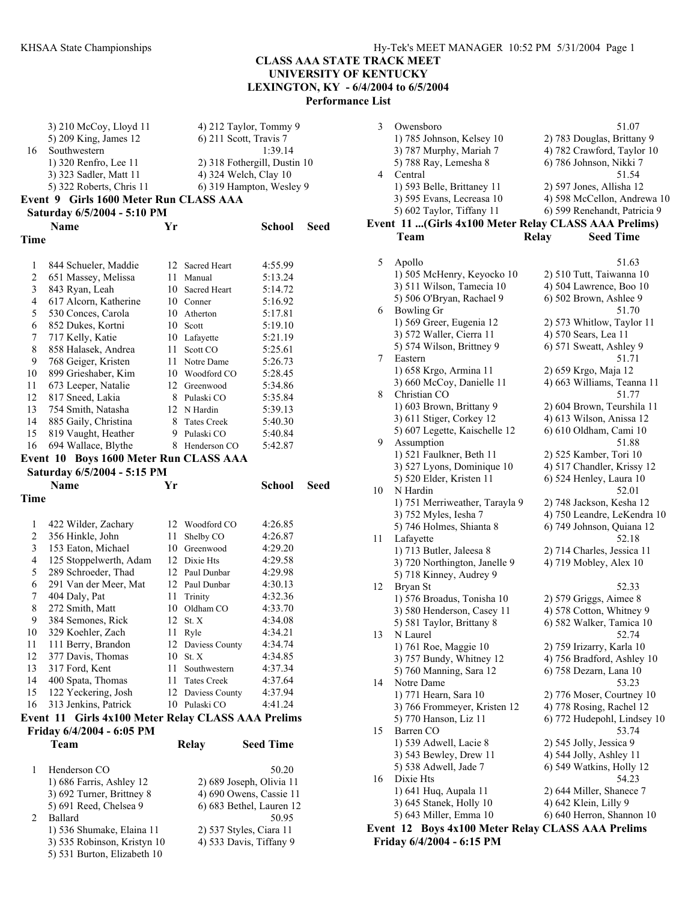3 Owensboro 51.07

# **CLASS AAA STATE TRACK MEET UNIVERSITY OF KENTUCKY LEXINGTON, KY - 6/4/2004 to 6/5/2004**

**Performance List** 

|    | $3)$ 210 McCoy, Lloyd 11 | 4) 212 Taylor, Tommy 9       |
|----|--------------------------|------------------------------|
|    | 5) 209 King, James 12    | 6) 211 Scott, Travis 7       |
| 16 | Southwestern             | 1:39.14                      |
|    | 1) 320 Renfro, Lee 11    | 2) 318 Fothergill, Dustin 10 |
|    | 3) 323 Sadler, Matt 11   | 4) 324 Welch, Clay 10        |
|    | 5) 322 Roberts, Chris 11 | 6) 319 Hampton, Wesley 9     |
|    |                          |                              |

# **Event 9 Girls 1600 Meter Run CLASS AAA**

```
Saturday 6/5/2004 - 5:10 PM
```

|      | Name                  | Yr |                     | School  | Seed |
|------|-----------------------|----|---------------------|---------|------|
| Time |                       |    |                     |         |      |
| 1    | 844 Schueler, Maddie  | 12 | <b>Sacred Heart</b> | 4:55.99 |      |
| 2    | 651 Massey, Melissa   | 11 | Manual              | 5:13.24 |      |
| 3    | 843 Ryan, Leah        | 10 | <b>Sacred Heart</b> | 5:14.72 |      |
| 4    | 617 Alcorn, Katherine | 10 | Conner              | 5:16.92 |      |
| 5    | 530 Conces, Carola    | 10 | Atherton            | 5:17.81 |      |
| 6    | 852 Dukes, Kortni     | 10 | Scott               | 5:19.10 |      |
| 7    | 717 Kelly, Katie      | 10 | Lafayette           | 5:21.19 |      |
| 8    | 858 Halasek, Andrea   | 11 | Scott CO            | 5:25.61 |      |
| 9    | 768 Geiger, Kristen   | 11 | Notre Dame          | 5:26.73 |      |
| 10   | 899 Grieshaber, Kim   | 10 | Woodford CO         | 5:28.45 |      |
| 11   | 673 Leeper, Natalie   | 12 | Greenwood           | 5:34.86 |      |
| 12   | 817 Sneed, Lakia      | 8  | Pulaski CO          | 5:35.84 |      |
| 13   | 754 Smith, Natasha    | 12 | N Hardin            | 5:39.13 |      |
| 14   | 885 Gaily, Christina  | 8  | <b>Tates Creek</b>  | 5:40.30 |      |
| 15   | 819 Vaught, Heather   | 9  | Pulaski CO          | 5:40.84 |      |
| 16   | 694 Wallace, Blythe   | 8  | Henderson CO        | 5:42.87 |      |
|      |                       |    |                     |         |      |

# **Event 10 Boys 1600 Meter Run CLASS AAA**

# **Saturday 6/5/2004 - 5:15 PM**

3) 535 Robinson, Kristyn 10 5) 531 Burton, Elizabeth 10

|                | $0.01 = 0.01$ $0.101$                              |    |                   |                          |      |
|----------------|----------------------------------------------------|----|-------------------|--------------------------|------|
|                | <b>Name</b>                                        | Yr |                   | <b>School</b>            | Seed |
| Time           |                                                    |    |                   |                          |      |
|                |                                                    |    |                   |                          |      |
| 1              | 422 Wilder, Zachary                                |    | 12 Woodford CO    | 4:26.85                  |      |
| $\overline{c}$ | 356 Hinkle, John                                   | 11 | Shelby CO         | 4:26.87                  |      |
| 3              | 153 Eaton, Michael                                 |    | 10 Greenwood      | 4:29.20                  |      |
| $\overline{4}$ | 125 Stoppelwerth, Adam                             |    | 12 Dixie Hts      | 4:29.58                  |      |
| 5              | 289 Schroeder, Thad                                |    | 12 Paul Dunbar    | 4:29.98                  |      |
| 6              | 291 Van der Meer, Mat                              |    | 12 Paul Dunbar    | 4:30.13                  |      |
| 7              | 404 Daly, Pat                                      | 11 | Trinity           | 4:32.36                  |      |
| 8              | 272 Smith, Matt                                    | 10 | Oldham CO         | 4:33.70                  |      |
| 9              | 384 Semones, Rick                                  | 12 | St. X             | 4:34.08                  |      |
| 10             | 329 Koehler, Zach                                  |    | 11 Ryle           | 4:34.21                  |      |
| 11             | 111 Berry, Brandon                                 |    | 12 Daviess County | 4:34.74                  |      |
| 12             | 377 Davis, Thomas                                  | 10 | St. X             | 4:34.85                  |      |
| 13             | 317 Ford, Kent                                     |    | 11 Southwestern   | 4:37.34                  |      |
| 14             | 400 Spata, Thomas                                  |    | 11 Tates Creek    | 4:37.64                  |      |
| 15             | 122 Yeckering, Josh                                |    | 12 Daviess County | 4:37.94                  |      |
| 16             | 313 Jenkins, Patrick                               |    | 10 Pulaski CO     | 4:41.24                  |      |
|                | Event 11 Girls 4x100 Meter Relay CLASS AAA Prelims |    |                   |                          |      |
|                | Friday 6/4/2004 - 6:05 PM                          |    |                   |                          |      |
|                | Team                                               |    | <b>Relay</b>      | <b>Seed Time</b>         |      |
| 1              | Henderson CO                                       |    |                   | 50.20                    |      |
|                | 1) 686 Farris, Ashley 12                           |    |                   | 2) 689 Joseph, Olivia 11 |      |
|                | 3) 692 Turner, Brittney 8                          |    |                   | 4) 690 Owens, Cassie 11  |      |
|                | 5) 691 Reed, Chelsea 9                             |    |                   | 6) 683 Bethel, Lauren 12 |      |
| 2              | <b>Ballard</b>                                     |    |                   | 50.95                    |      |
|                | 1) 536 Shumake, Elaina 11                          |    |                   | 2) 537 Styles, Ciara 11  |      |
|                | 3) 535 Robinson, Kristyn 10                        |    |                   | 4) 533 Davis, Tiffany 9  |      |

|    | 1) 785 Johnson, Kelsey 10                             | 2) 783 Douglas, Brittany 9       |
|----|-------------------------------------------------------|----------------------------------|
|    | 3) 787 Murphy, Mariah 7                               | 4) 782 Crawford, Taylor 10       |
|    | 5) 788 Ray, Lemesha 8                                 | 6) 786 Johnson, Nikki 7          |
| 4  | Central                                               | 51.54                            |
|    | 1) 593 Belle, Brittaney 11                            | 2) 597 Jones, Allisha 12         |
|    | 3) 595 Evans, Lecreasa 10                             | 4) 598 McCellon, Andrewa 10      |
|    | 5) 602 Taylor, Tiffany 11                             | 6) 599 Renehandt, Patricia 9     |
|    | Event 11  (Girls 4x100 Meter Relay CLASS AAA Prelims) |                                  |
|    | Team                                                  | <b>Relay</b><br><b>Seed Time</b> |
|    |                                                       |                                  |
| 5  | Apollo                                                | 51.63                            |
|    | 1) 505 McHenry, Keyocko 10                            | 2) 510 Tutt, Taiwanna 10         |
|    | 3) 511 Wilson, Tamecia 10                             | 4) 504 Lawrence, Boo 10          |
|    | 5) 506 O'Bryan, Rachael 9                             | 6) 502 Brown, Ashlee 9           |
| 6  | <b>Bowling Gr</b>                                     | 51.70                            |
|    | 1) 569 Greer, Eugenia 12                              | 2) 573 Whitlow, Taylor 11        |
|    | 3) 572 Waller, Cierra 11                              | 4) 570 Sears, Lea 11             |
|    | 5) 574 Wilson, Brittney 9                             | 6) 571 Sweatt, Ashley 9          |
| 7  | Eastern                                               | 51.71                            |
|    | 1) 658 Krgo, Armina 11                                | 2) 659 Krgo, Maja 12             |
|    | 3) 660 McCoy, Danielle 11                             | 4) 663 Williams, Teanna 11       |
| 8  | Christian CO                                          | 51.77                            |
|    | 1) 603 Brown, Brittany 9                              | 2) 604 Brown, Teurshila 11       |
|    | 3) 611 Stiger, Corkey 12                              | 4) 613 Wilson, Anissa 12         |
|    | 5) 607 Legette, Kaischelle 12                         | 6) 610 Oldham, Cami 10           |
| 9  | Assumption                                            | 51.88                            |
|    | 1) 521 Faulkner, Beth 11                              | 2) 525 Kamber, Tori 10           |
|    | 3) 527 Lyons, Dominique 10                            | 4) 517 Chandler, Krissy 12       |
|    | 5) 520 Elder, Kristen 11                              | 6) 524 Henley, Laura 10          |
| 10 | N Hardin                                              | 52.01                            |
|    | 1) 751 Merriweather, Tarayla 9                        | 2) 748 Jackson, Kesha 12         |
|    | 3) 752 Myles, Iesha 7                                 | 4) 750 Leandre, LeKendra 10      |
|    | 5) 746 Holmes, Shianta 8                              | 6) 749 Johnson, Quiana 12        |
| 11 | Lafayette                                             | 52.18                            |
|    | 1) 713 Butler, Jaleesa 8                              | 2) 714 Charles, Jessica 11       |
|    | 3) 720 Northington, Janelle 9                         | 4) 719 Mobley, Alex 10           |
|    | 5) 718 Kinney, Audrey 9                               |                                  |
| 12 | Bryan St                                              | 52.33                            |
|    | 1) 576 Broadus, Tonisha 10                            | 2) 579 Griggs, Aimee 8           |
|    | 3) 580 Henderson, Casey 11                            | 4) 578 Cotton, Whitney 9         |
|    | 5) 581 Taylor, Brittany 8                             | 6) 582 Walker, Tamica 10         |
| 13 | N Laurel                                              | 52.74                            |
|    | 1) 761 Roe, Maggie 10                                 | 2) 759 Irizarry, Karla 10        |
|    | 3) 757 Bundy, Whitney 12                              | 4) 756 Bradford, Ashley 10       |
|    | 5) 760 Manning, Sara 12                               | 6) 758 Dezarn, Lana 10           |
| 14 | Notre Dame                                            | 53.23                            |
|    | 1) 771 Hearn, Sara 10                                 | 2) 776 Moser, Courtney 10        |
|    | 3) 766 Frommeyer, Kristen 12                          | 4) 778 Rosing, Rachel 12         |
|    | 5) 770 Hanson, Liz 11                                 | 6) 772 Hudepohl, Lindsey 10      |
| 15 | Barren CO                                             | 53.74                            |
|    | 1) 539 Adwell, Lacie 8                                | 2) 545 Jolly, Jessica 9          |
|    | 3) 543 Bewley, Drew 11                                | 4) 544 Jolly, Ashley 11          |
|    | 5) 538 Adwell, Jade 7                                 | 6) 549 Watkins, Holly 12         |
| 16 | Dixie Hts                                             | 54.23                            |
|    | 1) 641 Huq, Aupala 11                                 | 2) 644 Miller, Shanece 7         |
|    | 3) 645 Stanek, Holly 10                               | 4) 642 Klein, Lilly 9            |
|    | 5) 643 Miller, Emma 10                                | 6) 640 Herron, Shannon 10        |
|    | Event 12 Boys 4x100 Meter Relay CLASS AAA Prelims     |                                  |
|    | Friday 6/4/2004 - 6:15 PM                             |                                  |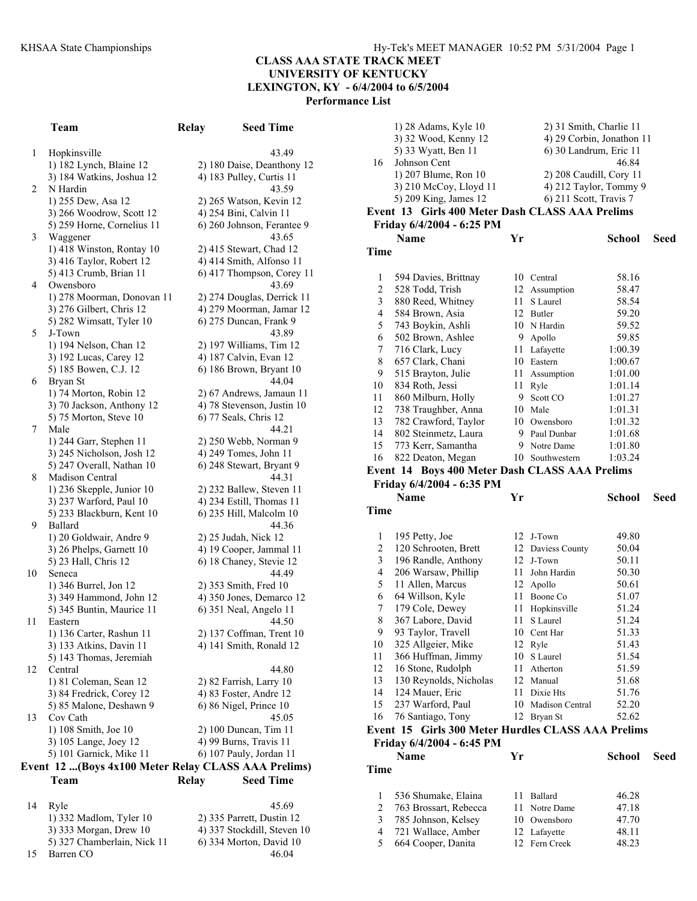# **CLASS AAA STATE TRACK MEET**

**UNIVERSITY OF KENTUCKY** 

**LEXINGTON, KY - 6/4/2004 to 6/5/2004** 

**Performance List** 

|    | Team                                                | Relay | <b>Seed Time</b>                 |
|----|-----------------------------------------------------|-------|----------------------------------|
| 1  | Hopkinsville                                        |       | 43.49                            |
|    | 1) 182 Lynch, Blaine 12                             |       | 2) 180 Daise, Deanthony 12       |
|    | 3) 184 Watkins, Joshua 12                           |       | 4) 183 Pulley, Curtis 11         |
| 2  | N Hardin                                            |       | 43.59                            |
|    | 1) 255 Dew, Asa 12                                  |       | 2) 265 Watson, Kevin 12          |
|    | 3) 266 Woodrow, Scott 12                            |       | 4) 254 Bini, Calvin 11           |
|    | 5) 259 Horne, Cornelius 11                          |       | 6) 260 Johnson, Ferantee 9       |
| 3  | Waggener                                            |       | 43.65                            |
|    | 1) 418 Winston, Rontay 10                           |       | 2) 415 Stewart, Chad 12          |
|    | 3) 416 Taylor, Robert 12                            |       | 4) 414 Smith, Alfonso 11         |
|    | 5) 413 Crumb, Brian 11                              |       | 6) 417 Thompson, Corey 11        |
| 4  | Owensboro                                           |       | 43.69                            |
|    | 1) 278 Moorman, Donovan 11                          |       | 2) 274 Douglas, Derrick 11       |
|    | 3) 276 Gilbert, Chris 12                            |       | 4) 279 Moorman, Jamar 12         |
|    | 5) 282 Wimsatt, Tyler 10                            |       | 6) 275 Duncan, Frank 9           |
| 5  | J-Town                                              |       | 43.89                            |
|    | 1) 194 Nelson, Chan 12                              |       | 2) 197 Williams, Tim 12          |
|    | 3) 192 Lucas, Carey 12                              |       | 4) 187 Calvin, Evan 12           |
|    | 5) 185 Bowen, C.J. 12                               |       | 6) 186 Brown, Bryant 10          |
| 6  | Bryan St                                            |       | 44.04                            |
|    | 1) 74 Morton, Robin 12                              |       | 2) 67 Andrews, Jamaun 11         |
|    | 3) 70 Jackson, Anthony 12                           |       | 4) 78 Stevenson, Justin 10       |
| 7  | 5) 75 Morton, Steve 10<br>Male                      |       | 6) 77 Seals, Chris 12<br>44.21   |
|    | 1) 244 Garr, Stephen 11                             |       | 2) 250 Webb, Norman 9            |
|    | 3) 245 Nicholson, Josh 12                           |       | 4) 249 Tomes, John 11            |
|    | 5) 247 Overall, Nathan 10                           |       | 6) 248 Stewart, Bryant 9         |
| 8  | Madison Central                                     |       | 44.31                            |
|    | 1) 236 Skepple, Junior 10                           |       | 2) 232 Ballew, Steven 11         |
|    | 3) 237 Warford, Paul 10                             |       | 4) 234 Estill, Thomas 11         |
|    | 5) 233 Blackburn, Kent 10                           |       | 6) 235 Hill, Malcolm 10          |
| 9  | Ballard                                             |       | 44.36                            |
|    | 1) 20 Goldwair, Andre 9                             |       | 2) 25 Judah, Nick 12             |
|    | 3) 26 Phelps, Garnett 10                            |       | 4) 19 Cooper, Jammal 11          |
|    | 5) 23 Hall, Chris 12                                |       | 6) 18 Chaney, Stevie 12          |
| 10 | Seneca                                              |       | 44.49                            |
|    | 1) 346 Burrel, Jon 12                               |       | 2) 353 Smith, Fred 10            |
|    | 3) 349 Hammond, John 12                             |       | 4) 350 Jones, Demarco 12         |
|    | 5) 345 Buntin, Maurice 11                           |       | 6) 351 Neal, Angelo 11           |
| 11 | Eastern                                             |       | 44.50                            |
|    | 1) 136 Carter, Rashun 11                            |       | 2) 137 Coffman, Trent 10         |
|    | 3) 133 Atkins, Davin 11                             |       | 4) 141 Smith, Ronald 12          |
|    | 5) 143 Thomas, Jeremiah                             |       |                                  |
| 12 | Central<br>1) 81 Coleman, Sean 12                   |       | 44.80<br>2) 82 Farrish, Larry 10 |
|    | 3) 84 Fredrick, Corey 12                            |       | 4) 83 Foster, Andre 12           |
|    | 5) 85 Malone, Deshawn 9                             |       | 6) 86 Nigel, Prince 10           |
| 13 | Cov Cath                                            |       | 45.05                            |
|    | 1) 108 Smith, Joe 10                                |       | 2) 100 Duncan, Tim 11            |
|    | 3) 105 Lange, Joey 12                               |       | 4) 99 Burns, Travis 11           |
|    | 5) 101 Garnick, Mike 11                             |       | 6) 107 Pauly, Jordan 11          |
|    | Event 12 (Boys 4x100 Meter Relay CLASS AAA Prelims) |       |                                  |
|    | Team                                                | Relay | <b>Seed Time</b>                 |
|    |                                                     |       |                                  |
| 14 | Ryle                                                |       | 45.69                            |

| 14 | Ryle                        | 45.69                       |
|----|-----------------------------|-----------------------------|
|    | 1) 332 Madlom, Tyler 10     | 2) 335 Parrett, Dustin 12   |
|    | 3) 333 Morgan, Drew 10      | 4) 337 Stockdill, Steven 10 |
|    | 5) 327 Chamberlain, Nick 11 | 6) 334 Morton, David 10     |
| 15 | Barren CO                   | 46 04                       |

|                  | 1) 28 Adams, Kyle 10                               |          | 2) 31 Smith, Charlie 11   |                |      |
|------------------|----------------------------------------------------|----------|---------------------------|----------------|------|
|                  | 3) 32 Wood, Kenny 12                               |          | 4) 29 Corbin, Jonathon 11 |                |      |
|                  | 5) 33 Wyatt, Ben 11                                |          | 6) 30 Landrum, Eric 11    |                |      |
| 16               | Johnson Cent                                       |          |                           | 46.84          |      |
|                  | 1) 207 Blume, Ron 10                               |          | 2) 208 Caudill, Cory 11   |                |      |
|                  | 3) 210 McCoy, Lloyd 11                             |          | 4) 212 Taylor, Tommy 9    |                |      |
|                  | 5) 209 King, James 12                              |          | 6) 211 Scott, Travis 7    |                |      |
|                  | Event 13 Girls 400 Meter Dash CLASS AAA Prelims    |          |                           |                |      |
|                  | Friday 6/4/2004 - 6:25 PM                          |          |                           |                |      |
|                  | Name                                               | Yr       |                           | <b>School</b>  | Seed |
| Time             |                                                    |          |                           |                |      |
|                  |                                                    |          |                           |                |      |
| 1                | 594 Davies, Brittnay                               |          | 10 Central                | 58.16          |      |
| $\overline{c}$   | 528 Todd, Trish                                    |          | 12 Assumption             | 58.47          |      |
| 3                | 880 Reed, Whitney                                  | 11       | S Laurel                  | 58.54          |      |
| 4                | 584 Brown, Asia                                    |          | 12 Butler                 | 59.20          |      |
| 5                | 743 Boykin, Ashli                                  |          | 10 N Hardin               | 59.52          |      |
| 6                | 502 Brown, Ashlee                                  | 9.       | Apollo                    | 59.85          |      |
| $\boldsymbol{7}$ | 716 Clark, Lucy                                    | 11       | Lafayette                 | 1:00.39        |      |
| 8                | 657 Clark, Chani                                   |          | 10 Eastern                | 1:00.67        |      |
| 9                | 515 Brayton, Julie                                 | 11       | Assumption                | 1:01.00        |      |
| 10               | 834 Roth, Jessi                                    | 11       | Ryle                      | 1:01.14        |      |
| 11               | 860 Milburn, Holly                                 | 9.       | Scott CO                  | 1:01.27        |      |
| 12               | 738 Traughber, Anna                                |          | 10 Male                   | 1:01.31        |      |
| 13               | 782 Crawford, Taylor                               |          | 10 Owensboro              | 1:01.32        |      |
| 14               | 802 Steinmetz, Laura                               |          | 9 Paul Dunbar             | 1:01.68        |      |
| 15               | 773 Kerr, Samantha                                 | 9.       | Notre Dame                | 1:01.80        |      |
| 16               | 822 Deaton, Megan                                  | 10       | Southwestern              | 1:03.24        |      |
|                  | Event 14 Boys 400 Meter Dash CLASS AAA Prelims     |          |                           |                |      |
|                  | Friday 6/4/2004 - 6:35 PM                          |          |                           |                |      |
|                  |                                                    |          |                           |                |      |
|                  | Name                                               | Yr       |                           | School         | Seed |
| Time             |                                                    |          |                           |                |      |
|                  |                                                    |          |                           |                |      |
| 1                | 195 Petty, Joe                                     |          | 12 J-Town                 | 49.80          |      |
| $\overline{c}$   | 120 Schrooten, Brett                               |          | 12 Daviess County         | 50.04          |      |
| 3                | 196 Randle, Anthony                                | 12       | J-Town                    | 50.11          |      |
| 4                | 206 Warsaw, Phillip                                | 11       | John Hardin               | 50.30          |      |
| 5                | 11 Allen, Marcus                                   | 12       | Apollo                    | 50.61          |      |
| 6                | 64 Willson, Kyle                                   | 11       | Boone Co                  | 51.07          |      |
| 7                | 179 Cole, Dewey                                    | 11       | Hopkinsville              | 51.24          |      |
| 8                | 367 Labore, David                                  | 11       | S Laurel                  | 51.24          |      |
| 9                | 93 Taylor, Travell                                 |          | 10 Cent Har               | 51.33          |      |
| 10               | 325 Allgeier, Mike                                 |          | 12 Ryle                   | 51.43          |      |
| 11               | 366 Huffman, Jimmy                                 | 10       | S Laurel                  | 51.54          |      |
| 12               | 16 Stone, Rudolph                                  | 11       | Atherton                  | 51.59          |      |
| 13               | 130 Reynolds, Nicholas                             | 12       | Manual                    | 51.68          |      |
| 14               | 124 Mauer, Eric                                    | 11       | Dixie Hts                 | 51.76          |      |
| 15               | 237 Warford, Paul                                  | 10       | <b>Madison Central</b>    | 52.20          |      |
| 16               | 76 Santiago, Tony                                  | 12       | Bryan St                  | 52.62          |      |
|                  | Event 15 Girls 300 Meter Hurdles CLASS AAA Prelims |          |                           |                |      |
|                  | Friday 6/4/2004 - 6:45 PM                          |          |                           |                |      |
|                  | <b>Name</b>                                        | Yr       |                           | <b>School</b>  | Seed |
| Time             |                                                    |          |                           |                |      |
|                  |                                                    |          |                           |                |      |
| 1                | 536 Shumake, Elaina                                | 11       | Ballard                   | 46.28          |      |
| $\overline{c}$   | 763 Brossart, Rebecca                              | 11       | Notre Dame                | 47.18          |      |
| 3                | 785 Johnson, Kelsey                                |          | 10 Owensboro              | 47.70          |      |
| 4<br>5           | 721 Wallace, Amber<br>664 Cooper, Danita           | 12<br>12 | Lafayette<br>Fern Creek   | 48.11<br>48.23 |      |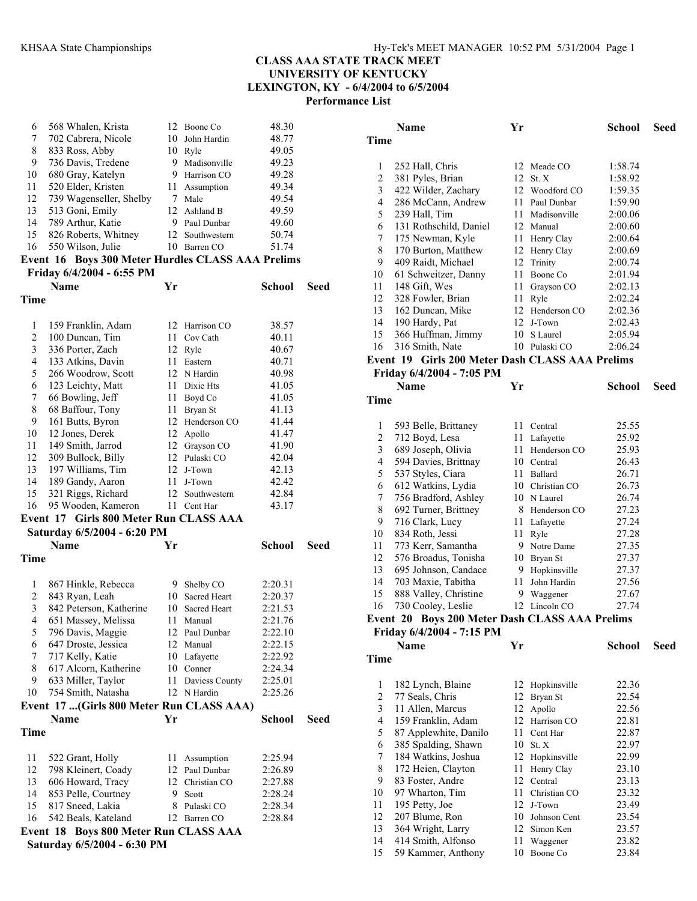| 6                | 568 Whalen, Krista                                |      | 12 Boone Co     | 48.30         |             |
|------------------|---------------------------------------------------|------|-----------------|---------------|-------------|
| 7                | 702 Cabrera, Nicole                               |      | 10 John Hardin  | 48.77         |             |
| 8                | 833 Ross, Abby                                    |      | 10 Ryle         | 49.05         |             |
| 9                | 736 Davis, Tredene                                | 9.   | Madisonville    | 49.23         |             |
| 10               | 680 Gray, Katelyn                                 | 9.   | Harrison CO     | 49.28         |             |
| 11               | 520 Elder, Kristen                                |      | 11 Assumption   | 49.34         |             |
| 12               | 739 Wagenseller, Shelby                           | 7    | Male            | 49.54         |             |
| 13               | 513 Goni, Emily                                   |      | 12 Ashland B    | 49.59         |             |
| 14               | 789 Arthur, Katie                                 | 9    | Paul Dunbar     | 49.60         |             |
| 15               | 826 Roberts, Whitney                              | 12   | Southwestern    | 50.74         |             |
| 16               | 550 Wilson, Julie                                 |      | 10 Barren CO    | 51.74         |             |
|                  | Event 16 Boys 300 Meter Hurdles CLASS AAA Prelims |      |                 |               |             |
|                  | Friday 6/4/2004 - 6:55 PM                         |      |                 |               |             |
|                  | <b>Name</b>                                       | Yr   |                 |               |             |
|                  |                                                   |      |                 | <b>School</b> | Seed        |
| Time             |                                                   |      |                 |               |             |
|                  |                                                   |      |                 |               |             |
| $\mathbf{1}$     | 159 Franklin, Adam                                |      | 12 Harrison CO  | 38.57         |             |
| $\overline{c}$   | 100 Duncan, Tim                                   | 11 - | Cov Cath        | 40.11         |             |
| 3                | 336 Porter, Zach                                  |      | 12 Ryle         | 40.67         |             |
| 4                | 133 Atkins, Davin                                 | 11 - | Eastern         | 40.71         |             |
| 5                | 266 Woodrow, Scott                                |      | 12 N Hardin     | 40.98         |             |
| 6                | 123 Leichty, Matt                                 | 11 - | Dixie Hts       | 41.05         |             |
| 7                | 66 Bowling, Jeff                                  |      | 11 Boyd Co      | 41.05         |             |
| 8                | 68 Baffour, Tony                                  |      | 11 Bryan St     | 41.13         |             |
| 9                | 161 Butts, Byron                                  |      | 12 Henderson CO | 41.44         |             |
| 10               | 12 Jones, Derek                                   |      | 12 Apollo       | 41.47         |             |
| 11               | 149 Smith, Jarrod                                 |      | 12 Grayson CO   | 41.90         |             |
| 12               | 309 Bullock, Billy                                |      | 12 Pulaski CO   | 42.04         |             |
| 13               | 197 Williams, Tim                                 |      | 12 J-Town       | 42.13         |             |
| 14               | 189 Gandy, Aaron                                  | 11   | J-Town          | 42.42         |             |
| 15               | 321 Riggs, Richard                                | 12   | Southwestern    | 42.84         |             |
| 16               | 95 Wooden, Kameron                                | 11   | Cent Har        | 43.17         |             |
|                  | Event 17 Girls 800 Meter Run CLASS AAA            |      |                 |               |             |
|                  | Saturday 6/5/2004 - 6:20 PM                       |      |                 |               |             |
|                  | <b>Name</b>                                       | Yr   |                 | School        | Seed        |
| Time             |                                                   |      |                 |               |             |
|                  |                                                   |      |                 |               |             |
| $\mathbf{1}$     | 867 Hinkle, Rebecca                               |      | 9 Shelby CO     | 2:20.31       |             |
| $\boldsymbol{2}$ | 843 Ryan, Leah                                    | 10   | Sacred Heart    | 2:20.37       |             |
| 3                | 842 Peterson, Katherine                           | 10   | Sacred Heart    | 2:21.53       |             |
| $\overline{4}$   | 651 Massey, Melissa                               | 11   | Manual          | 2:21.76       |             |
| 5                | 796 Davis, Maggie                                 |      | 12 Paul Dunbar  | 2:22.10       |             |
| 6                | 647 Droste, Jessica                               | 12   | Manual          | 2:22.15       |             |
| 7                | 717 Kelly, Katie                                  |      | 10 Lafayette    | 2:22.92       |             |
| 8                | 617 Alcorn, Katherine                             |      | 10 Conner       | 2:24.34       |             |
| 9                | 633 Miller, Taylor                                | 11   | Daviess County  | 2:25.01       |             |
| 10               | 754 Smith, Natasha                                |      | 12 N Hardin     | 2:25.26       |             |
|                  | Event 17 (Girls 800 Meter Run CLASS AAA)          |      |                 |               |             |
|                  | <b>Name</b>                                       | Yr   |                 | School        | <b>Seed</b> |
| Time             |                                                   |      |                 |               |             |
|                  |                                                   |      |                 |               |             |
| 11               | 522 Grant, Holly                                  |      | 11 Assumption   | 2:25.94       |             |
| 12               | 798 Kleinert, Coady                               |      | 12 Paul Dunbar  | 2:26.89       |             |
| 13               | 606 Howard, Tracy                                 |      | 12 Christian CO | 2:27.88       |             |
| 14               | 853 Pelle, Courtney                               | 9.   | Scott           | 2:28.24       |             |
| 15               | 817 Sneed, Lakia                                  |      | 8 Pulaski CO    | 2:28.34       |             |
| 16               | 542 Beals, Kateland                               |      | 12 Barren CO    | 2:28.84       |             |
|                  | Event 18 Boys 800 Meter Run CLASS AAA             |      |                 |               |             |
|                  | Saturday 6/5/2004 - 6:30 PM                       |      |                 |               |             |

|                         | Name                                            | Yr |                 | School  | Seed |
|-------------------------|-------------------------------------------------|----|-----------------|---------|------|
| Time                    |                                                 |    |                 |         |      |
| 1                       | 252 Hall, Chris                                 | 12 | Meade CO        | 1:58.74 |      |
| $\overline{c}$          | 381 Pyles, Brian                                | 12 | St. X           | 1:58.92 |      |
| 3                       | 422 Wilder, Zachary                             |    | 12 Woodford CO  | 1:59.35 |      |
| 4                       | 286 McCann, Andrew                              | 11 | Paul Dunbar     | 1:59.90 |      |
| 5                       | 239 Hall, Tim                                   | 11 | Madisonville    | 2:00.06 |      |
| 6                       | 131 Rothschild, Daniel                          | 12 | Manual          | 2:00.60 |      |
| 7                       | 175 Newman, Kyle                                | 11 | Henry Clay      | 2:00.64 |      |
| 8                       | 170 Burton, Matthew                             | 12 | Henry Clay      | 2:00.69 |      |
| 9                       | 409 Raidt, Michael                              | 12 | Trinity         | 2:00.74 |      |
| 10                      | 61 Schweitzer, Danny                            | 11 | Boone Co        | 2:01.94 |      |
| 11                      | 148 Gift, Wes                                   | 11 | Grayson CO      | 2:02.13 |      |
| 12                      | 328 Fowler, Brian                               | 11 | Ryle            | 2:02.24 |      |
| 13                      | 162 Duncan, Mike                                | 12 | Henderson CO    | 2:02.36 |      |
| 14                      | 190 Hardy, Pat                                  | 12 | J-Town          | 2:02.43 |      |
| 15                      | 366 Huffman, Jimmy                              | 10 | S Laurel        | 2:05.94 |      |
| 16                      | 316 Smith, Nate                                 | 10 | Pulaski CO      | 2:06.24 |      |
|                         | Event 19 Girls 200 Meter Dash CLASS AAA Prelims |    |                 |         |      |
|                         | Friday 6/4/2004 - 7:05 PM                       |    |                 |         |      |
| Time                    | Name                                            | Yr |                 | School  | Seed |
|                         |                                                 |    |                 |         |      |
| 1                       | 593 Belle, Brittaney                            |    | 11 Central      | 25.55   |      |
| $\overline{\mathbf{c}}$ | 712 Boyd, Lesa                                  | 11 | Lafayette       | 25.92   |      |
| 3                       | 689 Joseph, Olivia                              | 11 | Henderson CO    | 25.93   |      |
| 4                       | 594 Davies, Brittnay                            |    | 10 Central      | 26.43   |      |
| 5                       | 537 Styles, Ciara                               | 11 | Ballard         | 26.71   |      |
| 6                       | 612 Watkins, Lydia                              |    | 10 Christian CO | 26.73   |      |
| 7                       | 756 Bradford, Ashley                            | 10 | N Laurel        | 26.74   |      |
| 8                       | 692 Turner, Brittney                            | 8  | Henderson CO    | 27.23   |      |
| 9                       | 716 Clark, Lucy                                 | 11 | Lafayette       | 27.24   |      |
| 10                      | 834 Roth, Jessi                                 | 11 | Ryle            | 27.28   |      |
| 11                      | 773 Kerr, Samantha                              | 9  | Notre Dame      | 27.35   |      |
| 12                      | 576 Broadus, Tonisha                            | 10 | Bryan St        | 27.37   |      |
| 13                      | 695 Johnson, Candace                            | 9  | Hopkinsville    | 27.37   |      |
| 14                      | 703 Maxie, Tabitha                              | 11 | John Hardin     | 27.56   |      |
| 15                      | 888 Valley, Christine                           | 9  | Waggener        | 27.67   |      |
| 16                      | 730 Cooley, Leslie                              | 12 | Lincoln CO      | 27.74   |      |
|                         | Event 20 Boys 200 Meter Dash CLASS AAA Prelims  |    |                 |         |      |
|                         | Friday 6/4/2004 - 7:15 PM<br>Name               | Yr |                 | School  | Seed |
| Time                    |                                                 |    |                 |         |      |
|                         |                                                 |    |                 |         |      |
| 1                       | 182 Lynch, Blaine                               | 12 | Hopkinsville    | 22.36   |      |
| $\overline{c}$          | 77 Seals, Chris                                 | 12 | Bryan St        | 22.54   |      |
| 3                       | 11 Allen, Marcus                                | 12 | Apollo          | 22.56   |      |
| 4                       | 159 Franklin, Adam                              | 12 | Harrison CO     | 22.81   |      |
| 5                       | 87 Applewhite, Danilo                           | 11 | Cent Har        | 22.87   |      |
| 6                       | 385 Spalding, Shawn                             | 10 | St. X           | 22.97   |      |
| $\tau$                  | 184 Watkins, Joshua                             | 12 | Hopkinsville    | 22.99   |      |
| 8                       | 172 Heien, Clayton                              | 11 | Henry Clay      | 23.10   |      |
| 9                       | 83 Foster, Andre                                | 12 | Central         | 23.13   |      |
| 10                      | 97 Wharton, Tim                                 | 11 | Christian CO    | 23.32   |      |
| 11                      | 195 Petty, Joe                                  | 12 | J-Town          | 23.49   |      |
| 12                      | 207 Blume, Ron                                  | 10 | Johnson Cent    | 23.54   |      |
| 13                      | 364 Wright, Larry                               | 12 | Simon Ken       | 23.57   |      |
| 14                      | 414 Smith, Alfonso                              | 11 | Waggener        | 23.82   |      |
| 15                      | 59 Kammer, Anthony                              | 10 | Boone Co        | 23.84   |      |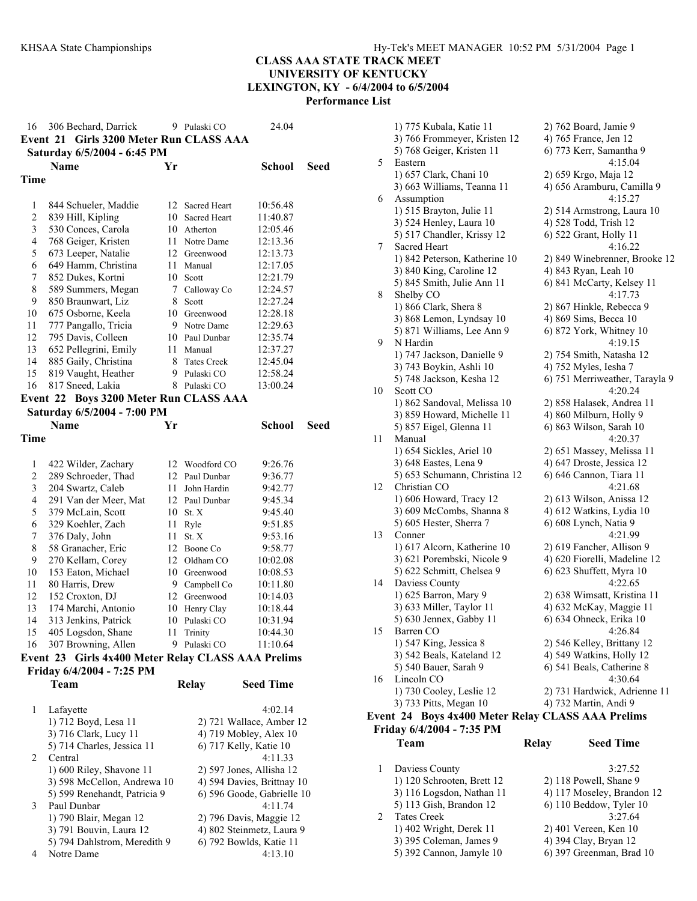| 16                  | 306 Bechard, Darrick                               |          | 9 Pulaski CO                 | 24.04                      |             |
|---------------------|----------------------------------------------------|----------|------------------------------|----------------------------|-------------|
|                     | Event 21 Girls 3200 Meter Run CLASS AAA            |          |                              |                            |             |
|                     | Saturday 6/5/2004 - 6:45 PM                        |          |                              |                            |             |
|                     | Name                                               | Yr       |                              | <b>School</b>              | Seed        |
| Time                |                                                    |          |                              |                            |             |
|                     |                                                    |          |                              |                            |             |
|                     |                                                    | 12       |                              | 10:56.48                   |             |
| 1<br>$\overline{c}$ | 844 Schueler, Maddie                               | 10       | Sacred Heart<br>Sacred Heart | 11:40.87                   |             |
| 3                   | 839 Hill, Kipling                                  |          | 10 Atherton                  |                            |             |
| $\overline{4}$      | 530 Conces, Carola<br>768 Geiger, Kristen          |          |                              | 12:05.46                   |             |
| 5                   |                                                    |          | 11 Notre Dame                | 12:13.36                   |             |
|                     | 673 Leeper, Natalie                                |          | 12 Greenwood                 | 12:13.73                   |             |
| 6<br>7              | 649 Hamm, Christina                                | 11<br>10 | Manual                       | 12:17.05                   |             |
| 8                   | 852 Dukes, Kortni                                  |          | Scott                        | 12:21.79                   |             |
|                     | 589 Summers, Megan                                 | 7        | Calloway Co                  | 12:24.57                   |             |
| 9                   | 850 Braunwart, Liz                                 | 8        | Scott                        | 12:27.24                   |             |
| 10                  | 675 Osborne, Keela                                 | 10       | Greenwood                    | 12:28.18                   |             |
| 11                  | 777 Pangallo, Tricia                               |          | 9 Notre Dame                 | 12:29.63                   |             |
| 12                  | 795 Davis, Colleen                                 |          | 10 Paul Dunbar               | 12:35.74                   |             |
| 13                  | 652 Pellegrini, Emily                              | 11       | Manual                       | 12:37.27                   |             |
| 14                  | 885 Gaily, Christina                               | 8.       | <b>Tates Creek</b>           | 12:45.04                   |             |
| 15                  | 819 Vaught, Heather                                | 9.       | Pulaski CO                   | 12:58.24                   |             |
| 16                  | 817 Sneed, Lakia                                   | 8        | Pulaski CO                   | 13:00.24                   |             |
|                     | Event 22 Boys 3200 Meter Run CLASS AAA             |          |                              |                            |             |
|                     | Saturday 6/5/2004 - 7:00 PM                        |          |                              |                            |             |
|                     | <b>Name</b>                                        | Yr       |                              | <b>School</b>              | <b>Seed</b> |
| Time                |                                                    |          |                              |                            |             |
|                     |                                                    |          |                              |                            |             |
| 1                   | 422 Wilder, Zachary                                |          | 12 Woodford CO               | 9:26.76                    |             |
| 2                   | 289 Schroeder, Thad                                |          | 12 Paul Dunbar               | 9:36.77                    |             |
| 3                   | 204 Swartz, Caleb                                  | 11       | John Hardin                  | 9:42.77                    |             |
| 4                   | 291 Van der Meer, Mat                              |          | 12 Paul Dunbar               | 9:45.34                    |             |
| 5                   | 379 McLain, Scott                                  | 10       | St. X                        | 9:45.40                    |             |
| 6                   | 329 Koehler, Zach                                  | 11       | Ryle                         | 9:51.85                    |             |
| 7                   | 376 Daly, John                                     | 11       | St. X                        | 9:53.16                    |             |
| 8                   | 58 Granacher, Eric                                 |          | 12 Boone Co                  | 9:58.77                    |             |
| 9                   | 270 Kellam, Corey                                  | 12       | Oldham CO                    | 10:02.08                   |             |
| 10                  | 153 Eaton, Michael                                 |          | 10 Greenwood                 | 10:08.53                   |             |
| 11                  | 80 Harris, Drew                                    |          | 9 Campbell Co                | 10:11.80                   |             |
| 12                  | 152 Croxton, DJ                                    |          | 12 Greenwood                 | 10:14.03                   |             |
| 13                  | 174 Marchi, Antonio                                | 10       | Henry Clay                   | 10:18.44                   |             |
| 14                  | 313 Jenkins, Patrick                               | 10       | Pulaski CO                   | 10:31.94                   |             |
| 15                  |                                                    | 11       | Trinity                      | 10:44.30                   |             |
| 16                  | 405 Logsdon, Shane<br>307 Browning, Allen          |          | 9 Pulaski CO                 | 11:10.64                   |             |
|                     |                                                    |          |                              |                            |             |
|                     | Event 23 Girls 4x400 Meter Relay CLASS AAA Prelims |          |                              |                            |             |
|                     | Friday 6/4/2004 - 7:25 PM                          |          |                              |                            |             |
|                     | Team                                               |          | <b>Relay</b>                 | <b>Seed Time</b>           |             |
|                     |                                                    |          |                              |                            |             |
| 1                   | Lafayette                                          |          |                              | 4:02.14                    |             |
|                     | 1) 712 Boyd, Lesa 11                               |          |                              | 2) 721 Wallace, Amber 12   |             |
|                     | 3) 716 Clark, Lucy 11                              |          |                              | 4) 719 Mobley, Alex 10     |             |
|                     | 5) 714 Charles, Jessica 11                         |          |                              | 6) 717 Kelly, Katie 10     |             |
| 2                   | Central                                            |          |                              | 4:11.33                    |             |
|                     | 1) 600 Riley, Shavone 11                           |          |                              | 2) 597 Jones, Allisha 12   |             |
|                     | 3) 598 McCellon, Andrewa 10                        |          |                              | 4) 594 Davies, Brittnay 10 |             |
|                     | 5) 599 Renehandt, Patricia 9                       |          |                              | 6) 596 Goode, Gabrielle 10 |             |
| 3                   | Paul Dunbar                                        |          |                              | 4:11.74                    |             |
|                     | 1) 790 Blair, Megan 12                             |          |                              | 2) 796 Davis, Maggie 12    |             |
|                     | 3) 791 Bouvin, Laura 12                            |          |                              | 4) 802 Steinmetz, Laura 9  |             |
|                     | 5) 794 Dahlstrom, Meredith 9                       |          |                              | 6) 792 Bowlds, Katie 11    |             |
| $\overline{4}$      | Notre Dame                                         |          |                              | 4:13.10                    |             |

|    | 1) 775 Kubala, Katie 11                           | 2) 762 Board, Jamie 9          |
|----|---------------------------------------------------|--------------------------------|
|    | 3) 766 Frommeyer, Kristen 12                      | 4) 765 France, Jen 12          |
|    | 5) 768 Geiger, Kristen 11                         | 6) 773 Kerr, Samantha 9        |
| 5  | Eastern                                           | 4:15.04                        |
|    | 1) 657 Clark, Chani 10                            | 2) 659 Krgo, Maja 12           |
|    | 3) 663 Williams, Teanna 11                        | 4) 656 Aramburu, Camilla 9     |
| 6  | Assumption                                        | 4:15.27                        |
|    | 1) 515 Brayton, Julie 11                          | 2) 514 Armstrong, Laura 10     |
|    | 3) 524 Henley, Laura 10                           | 4) 528 Todd, Trish 12          |
|    | 5) 517 Chandler, Krissy 12                        | 6) 522 Grant, Holly 11         |
| 7  | Sacred Heart                                      | 4:16.22                        |
|    | 1) 842 Peterson, Katherine 10                     | 2) 849 Winebrenner, Brooke 12  |
|    | 3) 840 King, Caroline 12                          | 4) 843 Ryan, Leah 10           |
|    | 5) 845 Smith, Julie Ann 11                        | 6) 841 McCarty, Kelsey 11      |
| 8  | Shelby CO                                         | 4:17.73                        |
|    | 1) 866 Clark, Shera 8                             | 2) 867 Hinkle, Rebecca 9       |
|    | 3) 868 Lemon, Lyndsay 10                          | 4) 869 Sims, Becca 10          |
|    | 5) 871 Williams, Lee Ann 9                        | 6) 872 York, Whitney 10        |
| 9  | N Hardin                                          | 4:19.15                        |
|    | 1) 747 Jackson, Danielle 9                        | 2) 754 Smith, Natasha 12       |
|    | 3) 743 Boykin, Ashli 10                           | 4) 752 Myles, Iesha 7          |
|    | 5) 748 Jackson, Kesha 12                          | 6) 751 Merriweather, Tarayla 9 |
| 10 | Scott CO                                          | 4:20.24                        |
|    | 1) 862 Sandoval, Melissa 10                       | 2) 858 Halasek, Andrea 11      |
|    | 3) 859 Howard, Michelle 11                        | 4) 860 Milburn, Holly 9        |
|    | 5) 857 Eigel, Glenna 11                           | 6) 863 Wilson, Sarah 10        |
| 11 | Manual                                            | 4:20.37                        |
|    | 1) 654 Sickles, Ariel 10                          | 2) 651 Massey, Melissa 11      |
|    | 3) 648 Eastes, Lena 9                             | 4) 647 Droste, Jessica 12      |
|    | 5) 653 Schumann, Christina 12                     | 6) 646 Cannon, Tiara 11        |
| 12 | Christian CO                                      | 4:21.68                        |
|    | 1) 606 Howard, Tracy 12                           | 2) 613 Wilson, Anissa 12       |
|    | 3) 609 McCombs, Shanna 8                          | 4) 612 Watkins, Lydia 10       |
|    | 5) 605 Hester, Sherra 7                           | 6) 608 Lynch, Natia 9          |
| 13 | Conner                                            | 4:21.99                        |
|    | 1) 617 Alcorn, Katherine 10                       | 2) 619 Fancher, Allison 9      |
|    | 3) 621 Porembski, Nicole 9                        | 4) 620 Fiorelli, Madeline 12   |
|    | 5) 622 Schmitt, Chelsea 9                         | 6) 623 Shuffett, Myra 10       |
| 14 | Daviess County                                    | 4:22.65                        |
|    | 1) 625 Barron, Mary 9                             | 2) 638 Wimsatt, Kristina 11    |
|    | 3) 633 Miller, Taylor 11                          | 4) 632 McKay, Maggie 11        |
|    | 5) 630 Jennex, Gabby 11                           | 6) 634 Ohneck, Erika 10        |
| 15 | Barren CO                                         | 4:26.84                        |
|    | 1) 547 King, Jessica 8                            | 2) 546 Kelley, Brittany 12     |
|    | 3) 542 Beals, Kateland 12                         | 4) 549 Watkins, Holly 12       |
|    | 5) 540 Bauer, Sarah 9                             | 6) 541 Beals, Catherine 8      |
| 16 | Lincoln CO                                        | 4:30.64                        |
|    | 1) 730 Cooley, Leslie 12                          | 2) 731 Hardwick, Adrienne 11   |
|    | 3) 733 Pitts, Megan 10                            | 4) 732 Martin, Andi 9          |
|    | Event 24 Boys 4x400 Meter Relay CLASS AAA Prelims |                                |
|    | Friday 6/4/2004 - 7:35 PM                         |                                |
|    | Team<br><b>Relay</b>                              | <b>Seed Time</b>               |
|    |                                                   |                                |
| 1  | Daviess County                                    | 3:27.52                        |
|    | 1) 120 Schrooten, Brett 12                        | 2) 118 Powell, Shane 9         |
|    | 3) 116 Logsdon, Nathan 11                         | 4) 117 Moseley, Brandon 12     |
|    | 5) 113 Gish, Brandon 12                           | 6) 110 Beddow, Tyler 10        |
| 2  | <b>Tates Creek</b>                                | 3:27.64                        |
|    | 1) 402 Wright, Derek 11                           | 2) 401 Vereen, Ken 10          |

3) 395 Coleman, James 9 4) 394 Clay, Bryan 12 5) 392 Cannon, Jamyle 10 6) 397 Greenman, Brad 10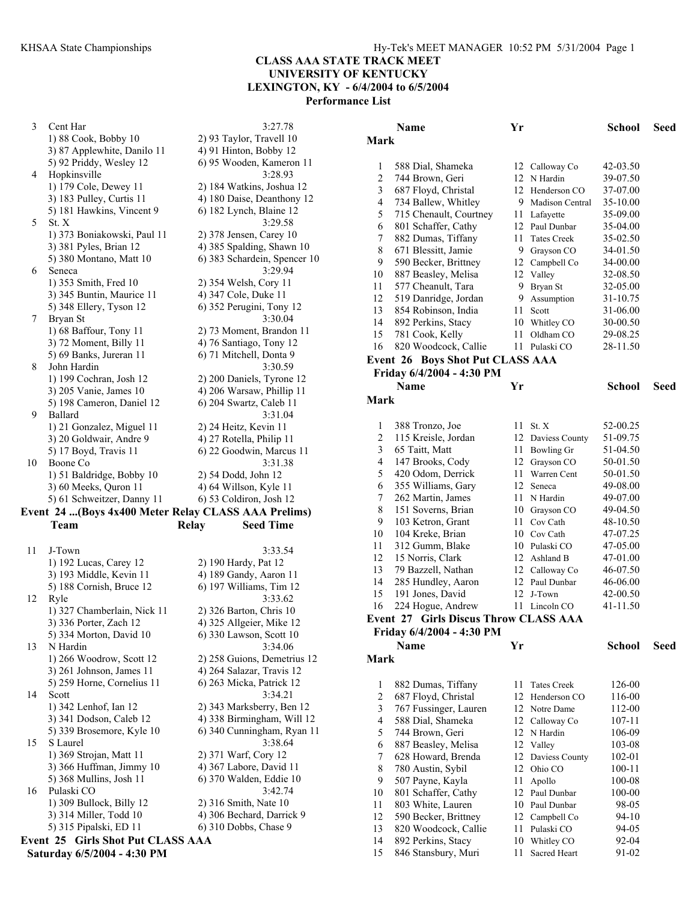3 Cent Har 3:27.78 1) 88 Cook, Bobby 10 2) 93 Taylor, Travell 10  $3)$  87 Applewhite, Danilo 11  $\qquad$  4) 91 Hinton, Bobby 12 5) 92 Priddy, Wesley 12 6) 95 Wooden, Kameron 11 4 Hopkinsville 3:28.93 1) 179 Cole, Dewey 11 2) 184 Watkins, Joshua 12 3) 183 Pulley, Curtis 11 4) 180 Daise, Deanthony 12 5) 181 Hawkins, Vincent 9 6) 182 Lynch, Blaine 12 5 St. X 3:29.58<br>1) 373 Boniakowski, Paul 11 2) 378 Jensen, Carey 10 1) 373 Boniakowski, Paul 11 3) 381 Pyles, Brian 12 4) 385 Spalding, Shawn 10 5) 380 Montano, Matt 10 6) 383 Schardein, Spencer 10 6 Seneca 3:29.94 1) 353 Smith, Fred 10 2) 354 Welsh, Cory 11 3) 345 Buntin, Maurice 11 4) 347 Cole, Duke 11 5) 348 Ellery, Tyson 12 6) 352 Perugini, Tony 12 7 Bryan St 3:30.04 1) 68 Baffour, Tony 11 2) 73 Moment, Brandon 11 3) 72 Moment, Billy 11 4) 76 Santiago, Tony 12 5) 69 Banks, Jureran 11 6) 71 Mitchell, Donta 9 8 John Hardin 3:30.59 1) 199 Cochran, Josh 12 2) 200 Daniels, Tyrone 12 3) 205 Vanie, James 10 4) 206 Warsaw, Phillip 11 5) 198 Cameron, Daniel 12 6) 204 Swartz, Caleb 11 9 Ballard 3:31.04 1) 21 Gonzalez, Miguel 11 2) 24 Heitz, Kevin 11 3) 20 Goldwair, Andre 9 4) 27 Rotella, Philip 11 5) 17 Boyd, Travis 11 6) 22 Goodwin, Marcus 11 10 Boone Co 3:31.38 1) 51 Baldridge, Bobby 10 2) 54 Dodd, John 12 3) 60 Meeks, Quron 11 4) 64 Willson, Kyle 11 5) 61 Schweitzer, Danny 11 6) 53 Coldiron, Josh 12

#### **Event 24 ...(Boys 4x400 Meter Relay CLASS AAA Prelims) Team Relay Seed Time**

11 J-Town 3:33.54 1) 192 Lucas, Carey 12 2) 190 Hardy, Pat 12 3) 193 Middle, Kevin 11 4) 189 Gandy, Aaron 11 5) 188 Cornish, Bruce 12 6) 197 Williams, Tim 12 12 Ryle 3:33.62<br>1) 327 Chamberlain, Nick 11 2) 326 Barton, Chris 10 1) 327 Chamberlain, Nick 11 3) 336 Porter, Zach 12 4) 325 Allgeier, Mike 12 5) 334 Morton, David 10 6) 330 Lawson, Scott 10 13 N Hardin 3:34.06 1) 266 Woodrow, Scott 12 2) 258 Guions, Demetrius 12 3) 261 Johnson, James 11 4) 264 Salazar, Travis 12 5) 259 Horne, Cornelius 11 6) 263 Micka, Patrick 12 14 Scott 3:34.21 1) 342 Lenhof, Ian 12 2) 343 Marksberry, Ben 12 3) 341 Dodson, Caleb 12 4) 338 Birmingham, Will 12 5) 339 Brosemore, Kyle 10 6) 340 Cunningham, Ryan 11 15 S Laurel 3:38.64 1) 369 Strojan, Matt 11 2) 371 Warf, Cory 12 3) 366 Huffman, Jimmy 10 4) 367 Labore, David 11 5) 368 Mullins, Josh 11 6) 370 Walden, Eddie 10<br>Pulaski CO 3:42.74 16 Pulaski CO 1) 309 Bullock, Billy 12 2) 316 Smith, Nate 10 3) 314 Miller, Todd 10 4) 306 Bechard, Darrick 9 5) 315 Pipalski, ED 11 6) 310 Dobbs, Chase 9 **Event 25 Girls Shot Put CLASS AAA Saturday 6/5/2004 - 4:30 PM** 

**Name Yr School Seed Mark**  588 Dial, Shameka 12 Calloway Co 42-03.50 744 Brown, Geri 12 N Hardin 39-07.50 687 Floyd, Christal 12 Henderson CO 37-07.00 734 Ballew, Whitley 9 Madison Central 35-10.00 715 Chenault, Courtney 11 Lafayette 35-09.00 801 Schaffer, Cathy 12 Paul Dunbar 35-04.00 882 Dumas, Tiffany 11 Tates Creek 35-02.50 8 671 Blessitt, Jamie 9 Grayson CO 34-01.50 590 Becker, Brittney 12 Campbell Co 34-00.00 887 Beasley, Melisa 12 Valley 32-08.50 577 Cheanult, Tara 9 Bryan St 32-05.00 12 519 Danridge, Jordan 9 Assumption 31-10.75 854 Robinson, India 11 Scott 31-06.00 14 892 Perkins, Stacy 10 Whitley CO 30-00.50 781 Cook, Kelly 11 Oldham CO 29-08.25 820 Woodcock, Callie 11 Pulaski CO 28-11.50 **Event 26 Boys Shot Put CLASS AAA Friday 6/4/2004 - 4:30 PM Name Yr School Seed Mark**  1 388 Tronzo, Joe 11 St. X 52-00.25 115 Kreisle, Jordan 12 Daviess County 51-09.75 65 Taitt, Matt 11 Bowling Gr 51-04.50 147 Brooks, Cody 12 Grayson CO 50-01.50 420 Odom, Derrick 11 Warren Cent 50-01.50 355 Williams, Gary 12 Seneca 49-08.00 262 Martin, James 11 N Hardin 49-07.00 8 151 Soverns, Brian 10 Grayson CO 49-04.50 103 Ketron, Grant 11 Cov Cath 48-10.50 104 Kreke, Brian 10 Cov Cath 47-07.25 312 Gumm, Blake 10 Pulaski CO 47-05.00 12 15 Norris, Clark 12 Ashland B 47-01.00 79 Bazzell, Nathan 12 Calloway Co 46-07.50 285 Hundley, Aaron 12 Paul Dunbar 46-06.00 191 Jones, David 12 J-Town 42-00.50 224 Hogue, Andrew 11 Lincoln CO 41-11.50 **Event 27 Girls Discus Throw CLASS AAA Friday 6/4/2004 - 4:30 PM Name Yr School Seed Mark**  882 Dumas, Tiffany 11 Tates Creek 126-00 2 687 Floyd, Christal 12 Henderson CO 116-00 767 Fussinger, Lauren 12 Notre Dame 112-00 588 Dial, Shameka 12 Calloway Co 107-11 744 Brown, Geri 12 N Hardin 106-09 887 Beasley, Melisa 12 Valley 103-08 628 Howard, Brenda 12 Daviess County 102-01 780 Austin, Sybil 12 Ohio CO 100-11 507 Payne, Kayla 11 Apollo 100-08 801 Schaffer, Cathy 12 Paul Dunbar 100-00

 803 White, Lauren 10 Paul Dunbar 98-05 590 Becker, Brittney 12 Campbell Co 94-10 820 Woodcock, Callie 11 Pulaski CO 94-05 892 Perkins, Stacy 10 Whitley CO 92-04 15 846 Stansbury, Muri 11 Sacred Heart 91-02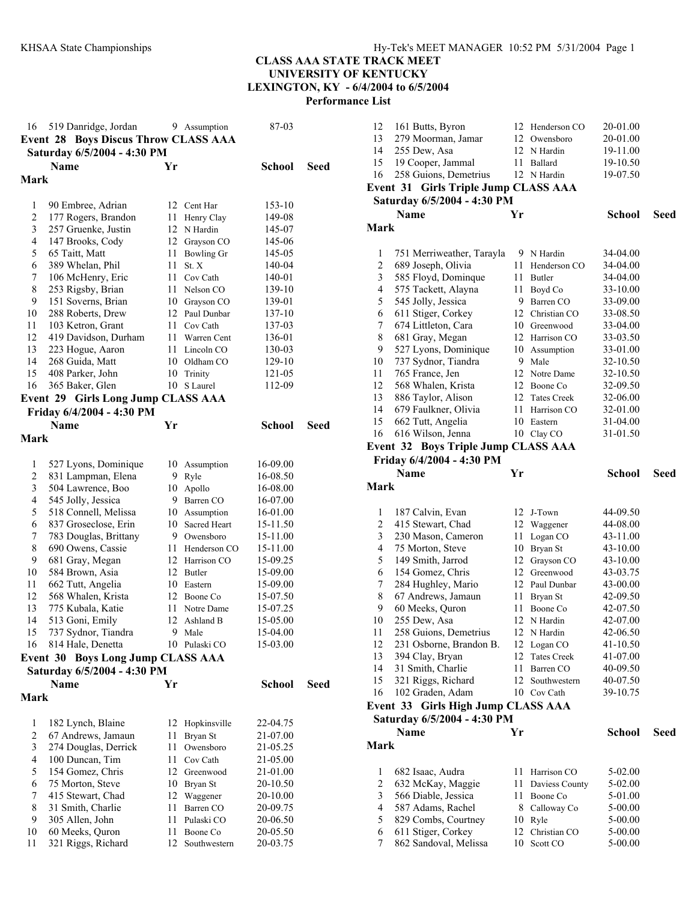| 16             | 519 Danridge, Jordan<br><b>Boys Discus Throw CLASS AAA</b><br>Event 28<br>Saturday 6/5/2004 - 4:30 PM |      | 9 Assumption   | 87-03         |      |
|----------------|-------------------------------------------------------------------------------------------------------|------|----------------|---------------|------|
|                | <b>Name</b>                                                                                           | Yr   |                | <b>School</b> | Seed |
| Mark           |                                                                                                       |      |                |               |      |
|                |                                                                                                       |      |                |               |      |
| 1              | 90 Embree, Adrian                                                                                     |      | 12 Cent Har    | 153-10        |      |
| $\overline{c}$ | 177 Rogers, Brandon                                                                                   | 11 - | Henry Clay     | 149-08        |      |
| 3              | 257 Gruenke, Justin                                                                                   |      | 12 N Hardin    | 145-07        |      |
| 4              | 147 Brooks, Cody                                                                                      |      | 12 Grayson CO  | 145-06        |      |
| 5              | 65 Taitt, Matt                                                                                        |      | 11 Bowling Gr  | 145-05        |      |
| 6              | 389 Whelan, Phil                                                                                      | 11   | St. X          | 140-04        |      |
| 7              | 106 McHenry, Eric                                                                                     |      | 11 Cov Cath    | 140-01        |      |
| 8              | 253 Rigsby, Brian                                                                                     | 11   | Nelson CO      | 139-10        |      |
| 9              | 151 Soverns, Brian                                                                                    |      | 10 Grayson CO  | 139-01        |      |
| 10             | 288 Roberts, Drew                                                                                     |      | 12 Paul Dunbar | 137-10        |      |
| 11             | 103 Ketron, Grant                                                                                     |      | 11 Cov Cath    | 137-03        |      |
| 12             | 419 Davidson, Durham                                                                                  |      | 11 Warren Cent | 136-01        |      |
| 13             | 223 Hogue, Aaron                                                                                      |      | 11 Lincoln CO  | 130-03        |      |
| 14             | 268 Guida, Matt                                                                                       |      | 10 Oldham CO   | 129-10        |      |
| 15             | 408 Parker, John                                                                                      | 10   | Trinity        | 121-05        |      |
| 16             | 365 Baker, Glen                                                                                       | 10   | S Laurel       | 112-09        |      |
|                | Event 29 Girls Long Jump CLASS AAA                                                                    |      |                |               |      |
|                | Friday 6/4/2004 - 4:30 PM                                                                             |      |                |               |      |
|                | <b>Name</b>                                                                                           | Yr   |                | <b>School</b> | Seed |
| Mark           |                                                                                                       |      |                |               |      |
|                |                                                                                                       |      |                |               |      |
| 1              | 527 Lyons, Dominique                                                                                  |      | 10 Assumption  | 16-09.00      |      |
| $\overline{c}$ | 831 Lampman, Elena                                                                                    | 9.   | Ryle           | 16-08.50      |      |
| 3              | 504 Lawrence, Boo                                                                                     | 10   | Apollo         | 16-08.00      |      |
| 4              | 545 Jolly, Jessica                                                                                    |      | 9 Barren CO    | 16-07.00      |      |
| 5              | 518 Connell, Melissa                                                                                  |      | 10 Assumption  | 16-01.00      |      |
| 6              | 837 Groseclose, Erin                                                                                  | 10   | Sacred Heart   | 15-11.50      |      |
| 7              | 783 Douglas, Brittany                                                                                 |      | 9 Owensboro    | 15-11.00      |      |
| 8              | 690 Owens, Cassie                                                                                     | 11   | Henderson CO   | 15-11.00      |      |
| 9              | 681 Gray, Megan                                                                                       |      | 12 Harrison CO | 15-09.25      |      |
| 10             | 584 Brown, Asia                                                                                       |      | 12 Butler      | 15-09.00      |      |
| 11             | 662 Tutt, Angelia                                                                                     |      | 10 Eastern     | 15-09.00      |      |
| 12             | 568 Whalen, Krista                                                                                    |      | 12 Boone Co    | 15-07.50      |      |
| 13             | 775 Kubala, Katie                                                                                     | 11   | Notre Dame     | 15-07.25      |      |
| 14             | 513 Goni, Emily                                                                                       | 12   | Ashland B      | 15-05.00      |      |
| 15             | 737 Sydnor, Tiandra                                                                                   | 9    | Male           | 15-04.00      |      |
| 16             | 814 Hale, Denetta                                                                                     | 10   | Pulaski CO     | 15-03.00      |      |
|                | <b>Boys Long Jump CLASS AAA</b><br>Event 30                                                           |      |                |               |      |
|                | Saturday 6/5/2004 - 4:30 PM                                                                           |      |                |               |      |
|                | Name                                                                                                  | Yr   |                | <b>School</b> | Seed |
| Mark           |                                                                                                       |      |                |               |      |
|                |                                                                                                       |      |                |               |      |
| 1              | 182 Lynch, Blaine                                                                                     | 12   | Hopkinsville   | 22-04.75      |      |
| $\overline{c}$ | 67 Andrews, Jamaun                                                                                    | 11   | Bryan St       | 21-07.00      |      |
| 3              | 274 Douglas, Derrick                                                                                  | 11   | Owensboro      | 21-05.25      |      |
| 4              | 100 Duncan, Tim                                                                                       | 11   | Cov Cath       | 21-05.00      |      |
| 5              | 154 Gomez, Chris                                                                                      | 12   | Greenwood      | 21-01.00      |      |
| 6              | 75 Morton, Steve                                                                                      | 10   | Bryan St       | 20-10.50      |      |
| 7              | 415 Stewart, Chad                                                                                     | 12   | Waggener       | 20-10.00      |      |
| 8              | 31 Smith, Charlie                                                                                     | 11   | Barren CO      | 20-09.75      |      |
| 9              | 305 Allen, John                                                                                       | 11   | Pulaski CO     | 20-06.50      |      |
| 10             | 60 Meeks, Quron                                                                                       | 11   | Boone Co       | 20-05.50      |      |
| 11             | 321 Riggs, Richard                                                                                    | 12   | Southwestern   | 20-03.75      |      |
|                |                                                                                                       |      |                |               |      |

| 12             | 161 Butts, Byron                         |    | 12 Henderson CO                   | 20-01.00             |      |
|----------------|------------------------------------------|----|-----------------------------------|----------------------|------|
| 13             | 279 Moorman, Jamar                       | 12 | Owensboro                         | 20-01.00             |      |
| 14             | 255 Dew, Asa                             |    | 12 N Hardin                       | 19-11.00             |      |
| 15             | 19 Cooper, Jammal                        |    | 11 Ballard                        | 19-10.50             |      |
| 16             | 258 Guions, Demetrius                    |    | 12 N Hardin                       | 19-07.50             |      |
|                | Event 31 Girls Triple Jump CLASS AAA     |    |                                   |                      |      |
|                | Saturday 6/5/2004 - 4:30 PM              |    |                                   |                      |      |
|                | Name                                     | Yr |                                   | School               | Seed |
| Mark           |                                          |    |                                   |                      |      |
|                |                                          |    |                                   |                      |      |
| 1              | 751 Merriweather, Tarayla                |    | 9 N Hardin                        | 34-04.00             |      |
| 2              | 689 Joseph, Olivia                       | 11 | Henderson CO                      | 34-04.00             |      |
| 3              | 585 Floyd, Dominque                      |    | 11 Butler                         | 34-04.00             |      |
| 4              | 575 Tackett, Alayna                      | 11 | Boyd Co                           | 33-10.00             |      |
| 5              | 545 Jolly, Jessica                       | 9. | Barren CO                         | 33-09.00             |      |
| 6              | 611 Stiger, Corkey                       |    | 12 Christian CO                   | 33-08.50             |      |
| 7              | 674 Littleton, Cara                      |    | 10 Greenwood                      | 33-04.00             |      |
| 8              | 681 Gray, Megan                          |    | 12 Harrison CO                    | 33-03.50             |      |
| 9              | 527 Lyons, Dominique                     | 10 | Assumption                        | 33-01.00             |      |
| 10             | 737 Sydnor, Tiandra                      | 9. | Male                              | 32-10.50             |      |
| 11             | 765 France, Jen                          |    | 12 Notre Dame                     | 32-10.50             |      |
| 12             | 568 Whalen, Krista                       |    | 12 Boone Co                       | 32-09.50             |      |
| 13             | 886 Taylor, Alison                       | 12 | <b>Tates Creek</b>                | 32-06.00             |      |
| 14             | 679 Faulkner, Olivia                     | 11 | Harrison CO                       | 32-01.00             |      |
| 15             | 662 Tutt, Angelia                        | 10 | Eastern                           | 31-04.00             |      |
| 16             | 616 Wilson, Jenna                        |    | 10 Clay CO                        | 31-01.50             |      |
|                | Event 32 Boys Triple Jump CLASS AAA      |    |                                   |                      |      |
|                | Friday 6/4/2004 - 4:30 PM                |    |                                   |                      |      |
|                | Name                                     | Yr |                                   | School               | Seed |
|                |                                          |    |                                   |                      |      |
|                |                                          |    |                                   |                      |      |
| Mark           |                                          |    |                                   |                      |      |
|                |                                          |    |                                   |                      |      |
| 1              | 187 Calvin, Evan                         |    | 12 J-Town                         | 44-09.50             |      |
| $\overline{c}$ | 415 Stewart, Chad                        |    | 12 Waggener                       | 44-08.00             |      |
| 3              | 230 Mason, Cameron                       |    | 11 Logan CO                       | 43-11.00             |      |
| 4              | 75 Morton, Steve                         |    | 10 Bryan St                       | 43-10.00             |      |
| 5              | 149 Smith, Jarrod                        | 12 | Grayson CO<br>12 Greenwood        | 43-10.00             |      |
| 6              | 154 Gomez, Chris                         |    | 12 Paul Dunbar                    | 43-03.75             |      |
| $\tau$<br>8    | 284 Hughley, Mario                       | 11 |                                   | 43-00.00             |      |
| 9              | 67 Andrews, Jamaun                       | 11 | Bryan St<br>Boone Co              | 42-09.50             |      |
| 10             | 60 Meeks, Quron                          | 12 | N Hardin                          | 42-07.50<br>42-07.00 |      |
|                | 255 Dew, Asa                             |    |                                   |                      |      |
| 11<br>12       | 258 Guions, Demetrius                    |    | 12 N Hardin                       | 42-06.50             |      |
| 13             | 231 Osborne, Brandon B.                  | 12 | 12 Logan CO<br><b>Tates Creek</b> | 41-10.50             |      |
| 14             | 394 Clay, Bryan                          | 11 | Barren CO                         | 41-07.00<br>40-09.50 |      |
| 15             | 31 Smith, Charlie                        | 12 | Southwestern                      | 40-07.50             |      |
| 16             | 321 Riggs, Richard                       | 10 | Cov Cath                          | 39-10.75             |      |
|                | 102 Graden, Adam<br>Event 33             |    |                                   |                      |      |
|                | <b>Girls High Jump CLASS AAA</b>         |    |                                   |                      |      |
|                | Saturday 6/5/2004 - 4:30 PM              |    |                                   |                      |      |
|                | Name                                     | Yr |                                   | <b>School</b>        | Seed |
| <b>Mark</b>    |                                          |    |                                   |                      |      |
| 1              | 682 Isaac, Audra                         | 11 | Harrison CO                       |                      |      |
| $\overline{c}$ | 632 McKay, Maggie                        | 11 | Daviess County                    | 5-02.00<br>5-02.00   |      |
| $\mathfrak{Z}$ |                                          | 11 | Boone Co                          | 5-01.00              |      |
| 4              | 566 Diable, Jessica                      | 8. | Calloway Co                       | 5-00.00              |      |
| 5              | 587 Adams, Rachel<br>829 Combs, Courtney | 10 | Ryle                              | 5-00.00              |      |
| 6              | 611 Stiger, Corkey                       | 12 | Christian CO                      | $5 - 00.00$          |      |